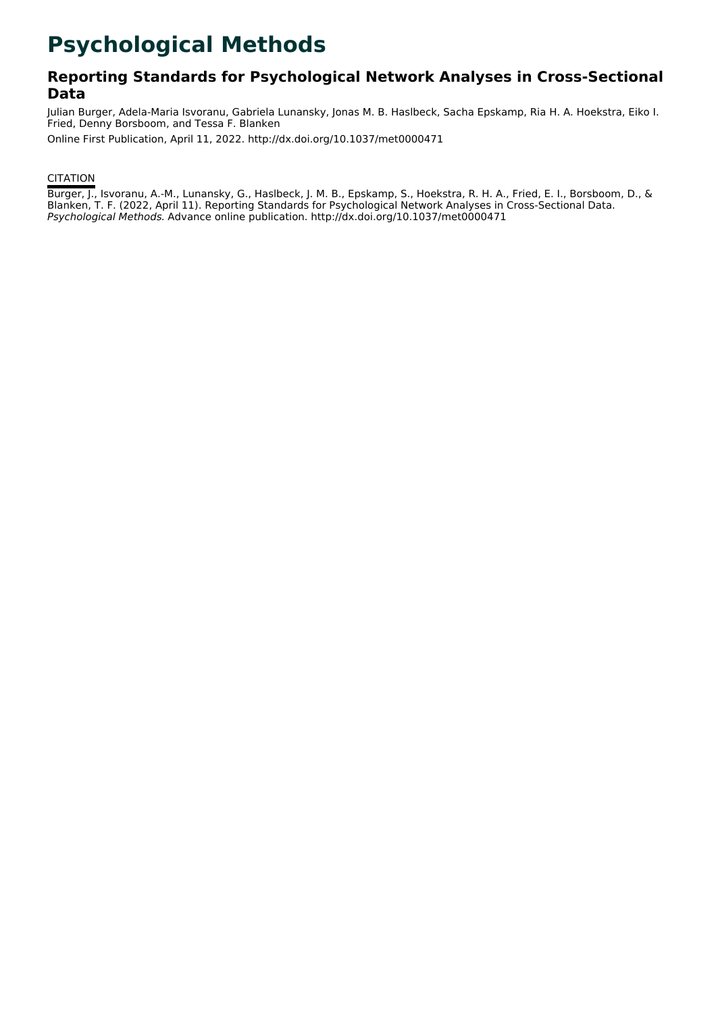# **Psychological Methods**

### **Reporting Standards for Psychological Network Analyses in Cross-Sectional Data**

Julian Burger, Adela-Maria Isvoranu, Gabriela Lunansky, Jonas M. B. Haslbeck, Sacha Epskamp, Ria H. A. Hoekstra, Eiko I. Fried, Denny Borsboom, and Tessa F. Blanken

Online First Publication, April 11, 2022. http://dx.doi.org/10.1037/met0000471

### **CITATION**

Burger, J., Isvoranu, A.-M., Lunansky, G., Haslbeck, J. M. B., Epskamp, S., Hoekstra, R. H. A., Fried, E. I., Borsboom, D., & Blanken, T. F. (2022, April 11). Reporting Standards for Psychological Network Analyses in Cross-Sectional Data. Psychological Methods. Advance online publication. http://dx.doi.org/10.1037/met0000471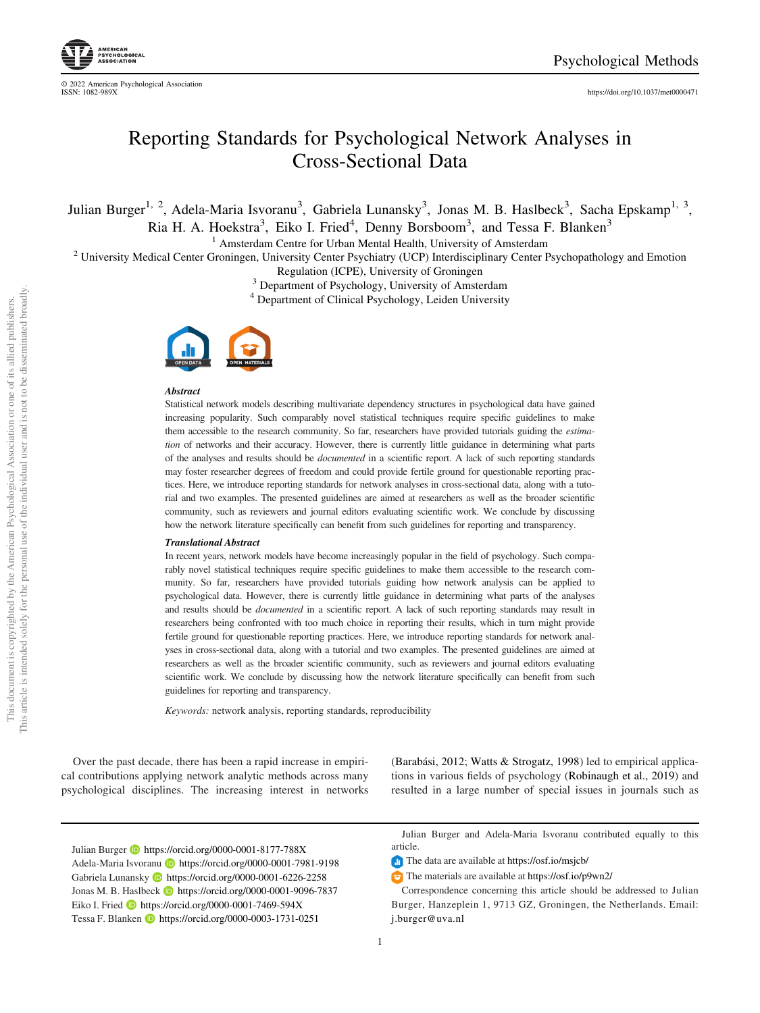<https://doi.org/10.1037/met0000471>

## Reporting Standards for Psychological Network Analyses in Cross-Sectional Data

Julian Burger<sup>1, 2</sup>, Adela-Maria Isvoranu<sup>3</sup>, Gabriela Lunansky<sup>3</sup>, Jonas M. B. Haslbeck<sup>3</sup>, Sacha Epskamp<sup>1, 3</sup>,

Ria H. A. Hoekstra<sup>3</sup>, Eiko I. Fried<sup>4</sup>, Denny Borsboom<sup>3</sup>, and Tessa F. Blanken<sup>3</sup>

<sup>1</sup> Amsterdam Centre for Urban Mental Health, University of Amsterdam <sup>2</sup> University Medical Center Groningen, University Center Psychiatry (UCP) Interdisciplinary Center Psychopathology and Emotion

Regulation (ICPE), University of Groningen<br><sup>3</sup> Department of Psychology, University of Amsterdam<br><sup>4</sup> Department of Clinical Psychology, Leiden University



#### **Abstract**

Statistical network models describing multivariate dependency structures in psychological data have gained increasing popularity. Such comparably novel statistical techniques require specific guidelines to make them accessible to the research community. So far, researchers have provided tutorials guiding the *estima*tion of networks and their accuracy. However, there is currently little guidance in determining what parts of the analyses and results should be *documented* in a scientific report. A lack of such reporting standards may foster researcher degrees of freedom and could provide fertile ground for questionable reporting practices. Here, we introduce reporting standards for network analyses in cross-sectional data, along with a tutorial and two examples. The presented guidelines are aimed at researchers as well as the broader scientific community, such as reviewers and journal editors evaluating scientific work. We conclude by discussing how the network literature specifically can benefit from such guidelines for reporting and transparency.

#### Translational Abstract

In recent years, network models have become increasingly popular in the field of psychology. Such comparably novel statistical techniques require specific guidelines to make them accessible to the research community. So far, researchers have provided tutorials guiding how network analysis can be applied to psychological data. However, there is currently little guidance in determining what parts of the analyses and results should be *documented* in a scientific report. A lack of such reporting standards may result in researchers being confronted with too much choice in reporting their results, which in turn might provide fertile ground for questionable reporting practices. Here, we introduce reporting standards for network analyses in cross-sectional data, along with a tutorial and two examples. The presented guidelines are aimed at researchers as well as the broader scientific community, such as reviewers and journal editors evaluating scientific work. We conclude by discussing how the network literature specifically can benefit from such guidelines for reporting and transparency.

Keywords: network analysis, reporting standards, reproducibility

Over the past decade, there has been a rapid increase in empirical contributions applying network analytic methods across many psychological disciplines. The increasing interest in networks (Barabási, 2012; Watts & Strogatz, 1998) led to empirical applications in various fields of psychology (Robinaugh et al., 2019) and resulted in a large number of special issues in journals such as

Julian Burger **b** <https://orcid.org/0000-0001-8177-788X> Adela-Maria Isvoranu **b** <https://orcid.org/0000-0001-7981-9198> Gabriela Lunansky **b** <https://orcid.org/0000-0001-6226-2258> Jonas M. B. Haslbeck **<https://orcid.org/0000-0001-9096-7837>** Eiko I. Fried  $\Box$  <https://orcid.org/0000-0001-7469-594X> Tessa F. Blanken **<https://orcid.org/0000-0003-1731-0251>** 

Julian Burger and Adela-Maria Isvoranu contributed equally to this article.

The data are available at <https://osf.io/msjcb/>

The materials are available at <https://osf.io/p9wn2/>

Correspondence concerning this article should be addressed to Julian Burger, Hanzeplein 1, 9713 GZ, Groningen, the Netherlands. Email: [j.burger@uva.nl](mailto:j.burger@uva.nl)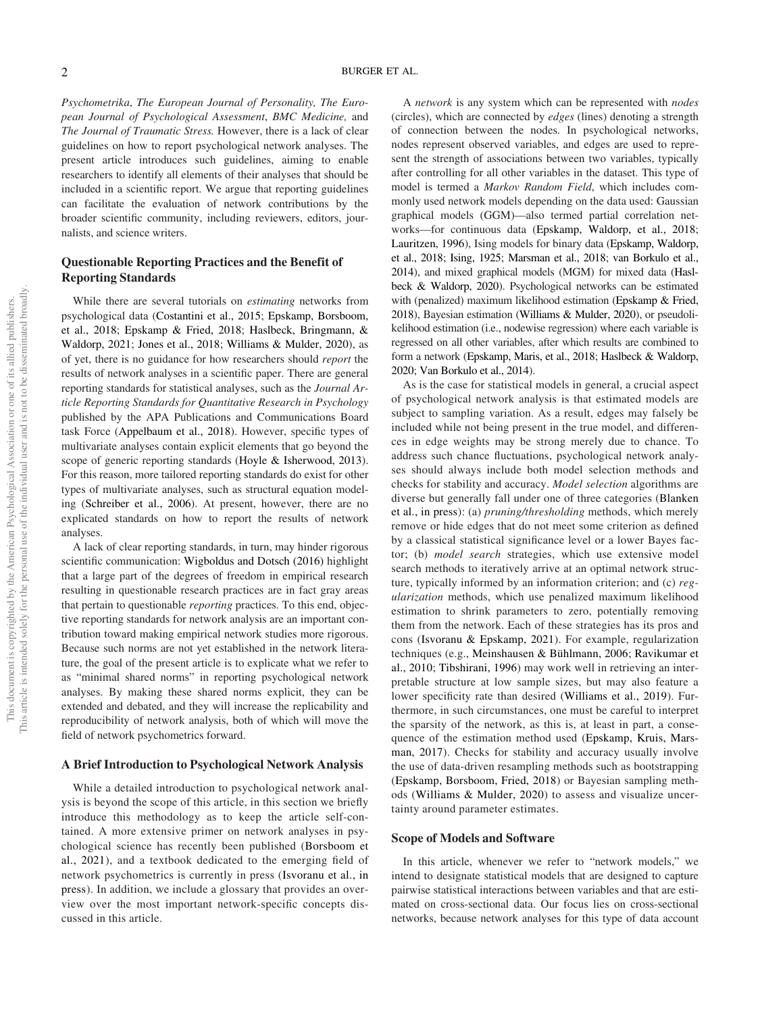Psychometrika, The European Journal of Personality, The European Journal of Psychological Assessment, BMC Medicine, and The Journal of Traumatic Stress. However, there is a lack of clear guidelines on how to report psychological network analyses. The present article introduces such guidelines, aiming to enable researchers to identify all elements of their analyses that should be included in a scientific report. We argue that reporting guidelines can facilitate the evaluation of network contributions by the broader scientific community, including reviewers, editors, journalists, and science writers.

#### Questionable Reporting Practices and the Benefit of Reporting Standards

While there are several tutorials on *estimating* networks from psychological data (Costantini et al., 2015; Epskamp, Borsboom, et al., 2018; Epskamp & Fried, 2018; Haslbeck, Bringmann, & Waldorp, 2021; Jones et al., 2018; Williams & Mulder, 2020), as of yet, there is no guidance for how researchers should report the results of network analyses in a scientific paper. There are general reporting standards for statistical analyses, such as the Journal Article Reporting Standards for Quantitative Research in Psychology published by the APA Publications and Communications Board task Force (Appelbaum et al., 2018). However, specific types of multivariate analyses contain explicit elements that go beyond the scope of generic reporting standards (Hoyle & Isherwood, 2013). For this reason, more tailored reporting standards do exist for other types of multivariate analyses, such as structural equation modeling (Schreiber et al., 2006). At present, however, there are no explicated standards on how to report the results of network analyses.

A lack of clear reporting standards, in turn, may hinder rigorous scientific communication: Wigboldus and Dotsch (2016) highlight that a large part of the degrees of freedom in empirical research resulting in questionable research practices are in fact gray areas that pertain to questionable reporting practices. To this end, objective reporting standards for network analysis are an important contribution toward making empirical network studies more rigorous. Because such norms are not yet established in the network literature, the goal of the present article is to explicate what we refer to as "minimal shared norms" in reporting psychological network analyses. By making these shared norms explicit, they can be extended and debated, and they will increase the replicability and reproducibility of network analysis, both of which will move the field of network psychometrics forward.

#### A Brief Introduction to Psychological Network Analysis

While a detailed introduction to psychological network analysis is beyond the scope of this article, in this section we briefly introduce this methodology as to keep the article self-contained. A more extensive primer on network analyses in psychological science has recently been published (Borsboom et al., 2021), and a textbook dedicated to the emerging field of network psychometrics is currently in press (Isvoranu et al., in press). In addition, we include a glossary that provides an overview over the most important network-specific concepts discussed in this article.

A network is any system which can be represented with nodes (circles), which are connected by edges (lines) denoting a strength of connection between the nodes. In psychological networks, nodes represent observed variables, and edges are used to represent the strength of associations between two variables, typically after controlling for all other variables in the dataset. This type of model is termed a Markov Random Field, which includes commonly used network models depending on the data used: Gaussian graphical models (GGM)—also termed partial correlation networks—for continuous data (Epskamp, Waldorp, et al., 2018; Lauritzen, 1996), Ising models for binary data (Epskamp, Waldorp, et al., 2018; Ising, 1925; Marsman et al., 2018; van Borkulo et al., 2014), and mixed graphical models (MGM) for mixed data (Haslbeck & Waldorp, 2020). Psychological networks can be estimated with (penalized) maximum likelihood estimation (Epskamp & Fried, 2018), Bayesian estimation (Williams & Mulder, 2020), or pseudolikelihood estimation (i.e., nodewise regression) where each variable is regressed on all other variables, after which results are combined to form a network (Epskamp, Maris, et al., 2018; Haslbeck & Waldorp, 2020; Van Borkulo et al., 2014).

As is the case for statistical models in general, a crucial aspect of psychological network analysis is that estimated models are subject to sampling variation. As a result, edges may falsely be included while not being present in the true model, and differences in edge weights may be strong merely due to chance. To address such chance fluctuations, psychological network analyses should always include both model selection methods and checks for stability and accuracy. Model selection algorithms are diverse but generally fall under one of three categories (Blanken et al., in press): (a) pruning/thresholding methods, which merely remove or hide edges that do not meet some criterion as defined by a classical statistical significance level or a lower Bayes factor; (b) model search strategies, which use extensive model search methods to iteratively arrive at an optimal network structure, typically informed by an information criterion; and (c) regularization methods, which use penalized maximum likelihood estimation to shrink parameters to zero, potentially removing them from the network. Each of these strategies has its pros and cons (Isvoranu & Epskamp, 2021). For example, regularization techniques (e.g., Meinshausen & Bühlmann, 2006; Ravikumar et al., 2010; Tibshirani, 1996) may work well in retrieving an interpretable structure at low sample sizes, but may also feature a lower specificity rate than desired (Williams et al., 2019). Furthermore, in such circumstances, one must be careful to interpret the sparsity of the network, as this is, at least in part, a consequence of the estimation method used (Epskamp, Kruis, Marsman, 2017). Checks for stability and accuracy usually involve the use of data-driven resampling methods such as bootstrapping (Epskamp, Borsboom, Fried, 2018) or Bayesian sampling methods (Williams & Mulder, 2020) to assess and visualize uncertainty around parameter estimates.

#### Scope of Models and Software

In this article, whenever we refer to "network models," we intend to designate statistical models that are designed to capture pairwise statistical interactions between variables and that are estimated on cross-sectional data. Our focus lies on cross-sectional networks, because network analyses for this type of data account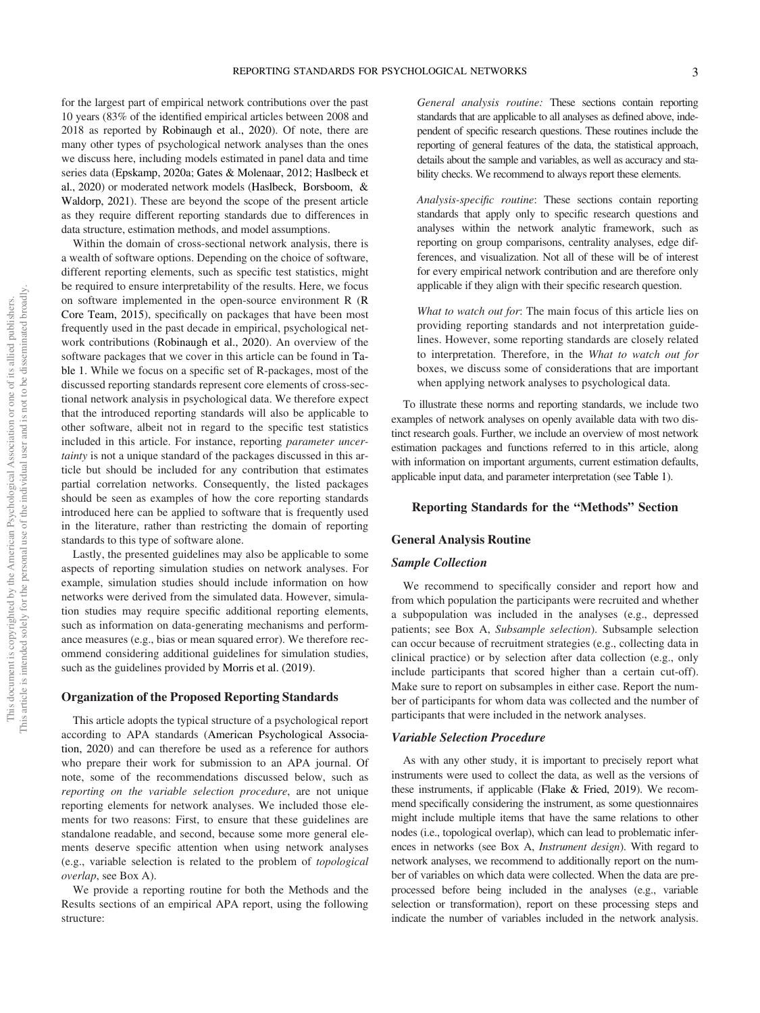for the largest part of empirical network contributions over the past 10 years (83% of the identified empirical articles between 2008 and 2018 as reported by Robinaugh et al., 2020). Of note, there are many other types of psychological network analyses than the ones we discuss here, including models estimated in panel data and time series data (Epskamp, 2020a; Gates & Molenaar, 2012; Haslbeck et al., 2020) or moderated network models (Haslbeck, Borsboom, & Waldorp, 2021). These are beyond the scope of the present article as they require different reporting standards due to differences in data structure, estimation methods, and model assumptions.

Within the domain of cross-sectional network analysis, there is a wealth of software options. Depending on the choice of software, different reporting elements, such as specific test statistics, might be required to ensure interpretability of the results. Here, we focus on software implemented in the open-source environment R (R Core Team, 2015), specifically on packages that have been most frequently used in the past decade in empirical, psychological network contributions (Robinaugh et al., 2020). An overview of the software packages that we cover in this article can be found in Table 1. While we focus on a specific set of R-packages, most of the discussed reporting standards represent core elements of cross-sectional network analysis in psychological data. We therefore expect that the introduced reporting standards will also be applicable to other software, albeit not in regard to the specific test statistics included in this article. For instance, reporting parameter uncertainty is not a unique standard of the packages discussed in this article but should be included for any contribution that estimates partial correlation networks. Consequently, the listed packages should be seen as examples of how the core reporting standards introduced here can be applied to software that is frequently used in the literature, rather than restricting the domain of reporting standards to this type of software alone.

Lastly, the presented guidelines may also be applicable to some aspects of reporting simulation studies on network analyses. For example, simulation studies should include information on how networks were derived from the simulated data. However, simulation studies may require specific additional reporting elements, such as information on data-generating mechanisms and performance measures (e.g., bias or mean squared error). We therefore recommend considering additional guidelines for simulation studies, such as the guidelines provided by Morris et al. (2019).

#### Organization of the Proposed Reporting Standards

This article adopts the typical structure of a psychological report according to APA standards (American Psychological Association, 2020) and can therefore be used as a reference for authors who prepare their work for submission to an APA journal. Of note, some of the recommendations discussed below, such as reporting on the variable selection procedure, are not unique reporting elements for network analyses. We included those elements for two reasons: First, to ensure that these guidelines are standalone readable, and second, because some more general elements deserve specific attention when using network analyses (e.g., variable selection is related to the problem of topological overlap, see Box A).

We provide a reporting routine for both the Methods and the Results sections of an empirical APA report, using the following structure:

General analysis routine: These sections contain reporting standards that are applicable to all analyses as defined above, independent of specific research questions. These routines include the reporting of general features of the data, the statistical approach, details about the sample and variables, as well as accuracy and stability checks. We recommend to always report these elements.

Analysis-specific routine: These sections contain reporting standards that apply only to specific research questions and analyses within the network analytic framework, such as reporting on group comparisons, centrality analyses, edge differences, and visualization. Not all of these will be of interest for every empirical network contribution and are therefore only applicable if they align with their specific research question.

What to watch out for: The main focus of this article lies on providing reporting standards and not interpretation guidelines. However, some reporting standards are closely related to interpretation. Therefore, in the What to watch out for boxes, we discuss some of considerations that are important when applying network analyses to psychological data.

To illustrate these norms and reporting standards, we include two examples of network analyses on openly available data with two distinct research goals. Further, we include an overview of most network estimation packages and functions referred to in this article, along with information on important arguments, current estimation defaults, applicable input data, and parameter interpretation (see Table 1).

#### Reporting Standards for the "Methods" Section

#### General Analysis Routine

#### Sample Collection

We recommend to specifically consider and report how and from which population the participants were recruited and whether a subpopulation was included in the analyses (e.g., depressed patients; see Box A, Subsample selection). Subsample selection can occur because of recruitment strategies (e.g., collecting data in clinical practice) or by selection after data collection (e.g., only include participants that scored higher than a certain cut-off). Make sure to report on subsamples in either case. Report the number of participants for whom data was collected and the number of participants that were included in the network analyses.

#### Variable Selection Procedure

As with any other study, it is important to precisely report what instruments were used to collect the data, as well as the versions of these instruments, if applicable (Flake & Fried, 2019). We recommend specifically considering the instrument, as some questionnaires might include multiple items that have the same relations to other nodes (i.e., topological overlap), which can lead to problematic inferences in networks (see Box A, Instrument design). With regard to network analyses, we recommend to additionally report on the number of variables on which data were collected. When the data are preprocessed before being included in the analyses (e.g., variable selection or transformation), report on these processing steps and indicate the number of variables included in the network analysis.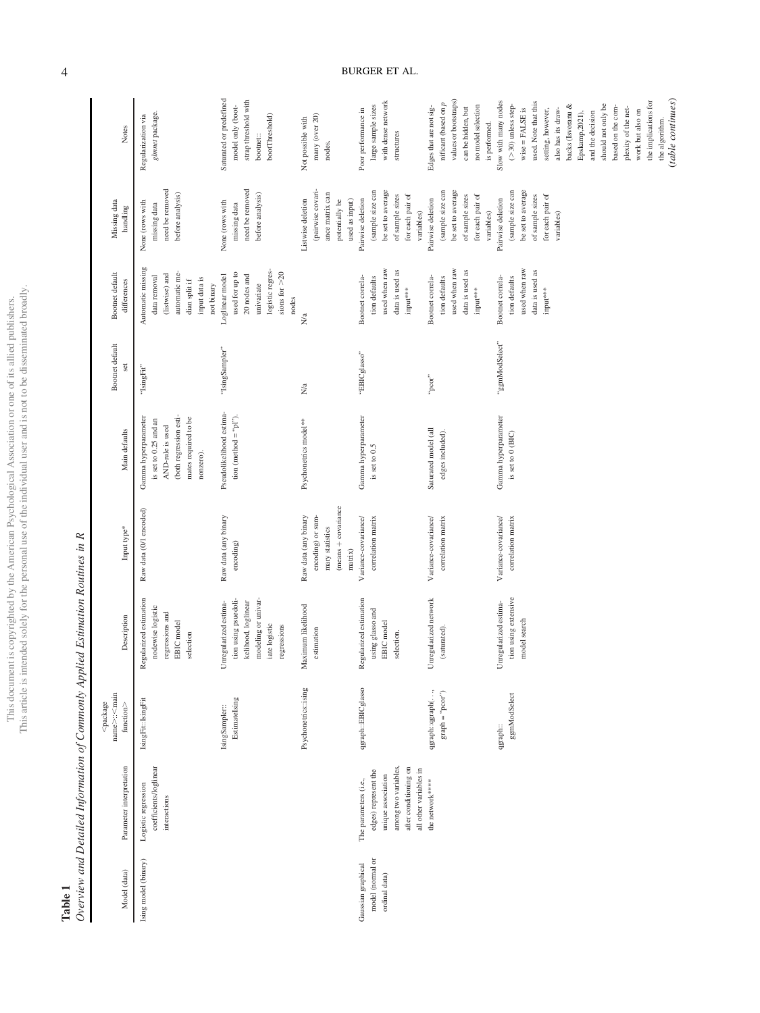| ì<br>i<br>ś<br>j          | j        |
|---------------------------|----------|
|                           |          |
|                           |          |
|                           |          |
|                           |          |
| i<br>l<br>).              |          |
| ı<br>ï                    |          |
| ı                         |          |
| ï<br>Č                    |          |
| $\frac{1}{2}$<br>š        | ł        |
|                           |          |
| )<br>ì                    |          |
| I                         |          |
| ヨミニ<br>$\frac{1}{2}$<br>j | his<br>ì |

Table 1<br>Overview and Detailed Information of Commonly Applied Estimation Routines in R Overview and Detailed Information of Commonly Applied Estimation Routines in R

| Notes                                                                                                                                  | glmnet package.<br>Regularization via                                                                                            | Saturated or predefined<br>strap threshold with<br>model only (boot-<br>bootThreshold)<br>bootnet::                         | many (over 20)<br>Not possible with<br>nodes.                                                  | with dense network<br>large sample sizes<br>Poor performance in<br>structures                                                                  | values or bootstraps)<br>nificant (based on $p$<br>no model selection<br>Edges that are not sig-<br>can be hidden, but<br>is performed. | Slow with many nodes<br>used. Note that this<br>should not only be<br>$($ >30) unless step-<br>backs (Isvoranu &<br>$wise = FALSE$ is<br>also has its draw-<br>setting, however,<br>Epskamp, 2021),<br>and the decision | (table continues)<br>the implications for<br>based on the com-<br>plexity of the net-<br>work but also on<br>the algorithm. |
|----------------------------------------------------------------------------------------------------------------------------------------|----------------------------------------------------------------------------------------------------------------------------------|-----------------------------------------------------------------------------------------------------------------------------|------------------------------------------------------------------------------------------------|------------------------------------------------------------------------------------------------------------------------------------------------|-----------------------------------------------------------------------------------------------------------------------------------------|-------------------------------------------------------------------------------------------------------------------------------------------------------------------------------------------------------------------------|-----------------------------------------------------------------------------------------------------------------------------|
| Missing data<br>handling                                                                                                               | need be removed<br>before analysis)<br>None (rows with<br>missing data                                                           | need be removed<br>before analysis)<br>None (rows with<br>missing data                                                      | (pairwise covari-<br>ance matrix can<br>Listwise deletion<br>used as input)<br>potentially be  | (sample size can<br>be set to average<br>of sample sizes<br>for each pair of<br>Pairwise deletion<br>variables)                                | be set to average<br>(sample size can<br>of sample sizes<br>for each pair of<br>Pairwise deletion<br>variables)                         | be set to average<br>(sample size can<br>for each pair of<br>of sample sizes<br>Pairwise deletion<br>variables)                                                                                                         |                                                                                                                             |
| Bootnet default<br>differences                                                                                                         | Automatic missing<br>automatic me-<br>(listwise) and<br>data removal<br>input data is<br>dian split if<br>not binary             | logistic regres-<br>sions for $>20$<br>used for up to<br>Loglinear model<br>20 nodes and<br>univariate<br>nodes             | N/a                                                                                            | used when raw<br>data is used as<br>Bootnet correla-<br>tion defaults<br>input***                                                              | used when raw<br>data is used as<br>Bootnet correla-<br>tion defaults<br>input***                                                       | used when raw<br>data is used as<br>Bootnet correla-<br>tion defaults<br>input***                                                                                                                                       |                                                                                                                             |
| Bootnet default<br>set                                                                                                                 | "IsingFit"                                                                                                                       | "IsingSampler"                                                                                                              | $\rm Na$                                                                                       | "EBICglasso"                                                                                                                                   | "pcor"                                                                                                                                  | "ggmModSelect"                                                                                                                                                                                                          |                                                                                                                             |
| Main defaults                                                                                                                          | (both regression esti-<br>Gamma hyperparameter<br>mates required to be<br>is set to 0.25 and an<br>AND-rule is used<br>nonzero). | Pseudolikelihood estima-<br>tion (method = " $p1$ ").                                                                       | Psychonetrics model**                                                                          | Gamma hyperparameter<br>is set to 0.5                                                                                                          | Saturated model (all<br>edges included).                                                                                                | Gamma hyperparameter<br>is set to 0 (BIC)                                                                                                                                                                               |                                                                                                                             |
| Input type*                                                                                                                            | Raw data (0/1 encoded)                                                                                                           | Raw data (any binary<br>encoding)                                                                                           | (means + covariance<br>Raw data (any binary<br>encoding) or sum-<br>mary statistics<br>matrix) | Variance-covariance/<br>correlation matrix                                                                                                     | Variance-covariance/<br>correlation matrix                                                                                              | Variance-covariance/<br>correlation matrix                                                                                                                                                                              |                                                                                                                             |
| Description                                                                                                                            | Regularized estimation<br>nodewise logistic<br>regressions and<br>EBIC model<br>selection                                        | modeling or univar-<br>tion using psuedoli-<br>Unregularized estima-<br>kelihood, loglinear<br>iate logistic<br>regressions | Maximum likelihood<br>estimation                                                               | Regularized estimation<br>using glasso and<br>EBIC model<br>selection.                                                                         | Unregularized network<br>(saturated).                                                                                                   | tion using extensive<br>Unregularized estima-<br>model search                                                                                                                                                           |                                                                                                                             |
| name>: <main<br><math>&lt;</math>package<br/><math display="inline">{\rm function}</math> <math display="inline">&gt;</math></main<br> | IsingFit: IsingFit                                                                                                               | EstimateIsing<br>IsingSampler::                                                                                             | Psychonetrics::ising                                                                           | qgraph::EBICglasso                                                                                                                             | qgraph::qgraph(,<br>$graph = "pcor")$                                                                                                   | ggmModSelect<br>qgraph::                                                                                                                                                                                                |                                                                                                                             |
| Parameter interpretation                                                                                                               | coefficients/loglinear<br>Logistic regression<br>interactions                                                                    |                                                                                                                             |                                                                                                | among two variables,<br>after conditioning on<br>all other variables in<br>edges) represent the<br>unique association<br>The parameters (i.e., | the network****                                                                                                                         |                                                                                                                                                                                                                         |                                                                                                                             |
| Model (data)                                                                                                                           | Ising model (binary)                                                                                                             |                                                                                                                             |                                                                                                | model (normal or<br>Gaussian graphical<br>ordinal data)                                                                                        |                                                                                                                                         |                                                                                                                                                                                                                         |                                                                                                                             |

4 BURGER ET AL.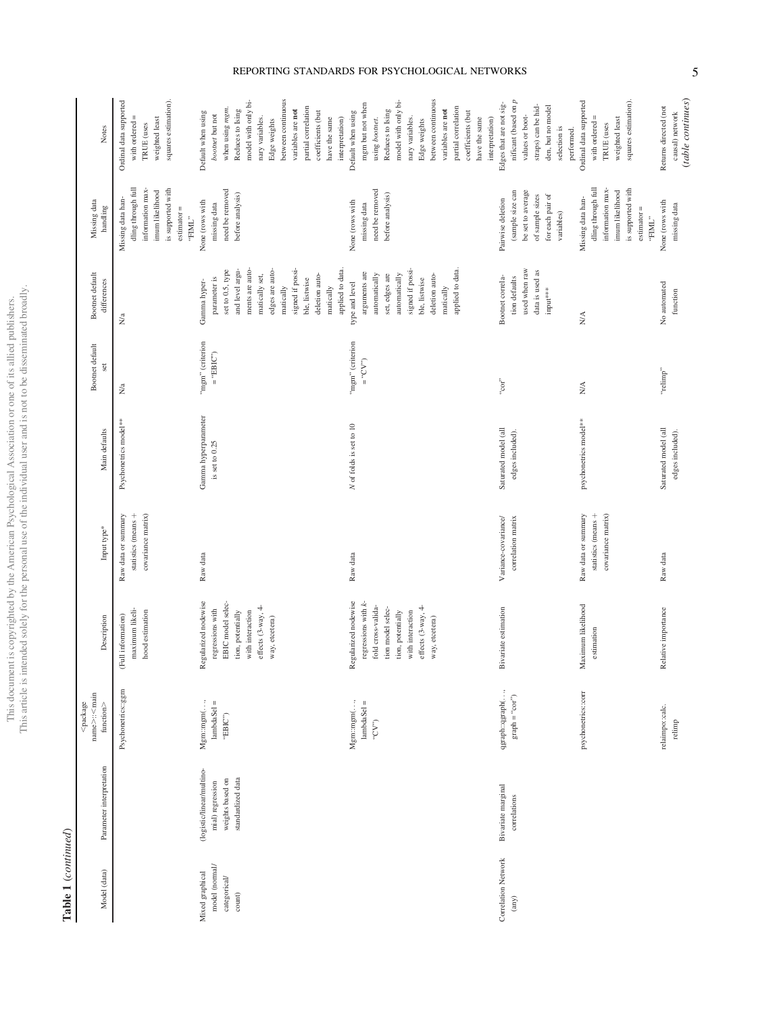Table 1 (continued) Table 1 (continued)

| Model (data)                                                         | Parameter interpretation                                                               | name>: <main<br><math>&lt;</math>package<br/><math display="inline">{\tt function}</math> <math display="inline">\!&gt;</math></main<br> | Description                                                                                                                                                             | Input type*                                                      | Main defaults                            | Bootnet default<br>set          | Bootnet default<br>differences                                                                                                                                                                                                   | Missing data<br>handling                                                                                                                  | Notes                                                                                                                                                                                                                                                             |
|----------------------------------------------------------------------|----------------------------------------------------------------------------------------|------------------------------------------------------------------------------------------------------------------------------------------|-------------------------------------------------------------------------------------------------------------------------------------------------------------------------|------------------------------------------------------------------|------------------------------------------|---------------------------------|----------------------------------------------------------------------------------------------------------------------------------------------------------------------------------------------------------------------------------|-------------------------------------------------------------------------------------------------------------------------------------------|-------------------------------------------------------------------------------------------------------------------------------------------------------------------------------------------------------------------------------------------------------------------|
|                                                                      |                                                                                        | Psychonetrics::ggm                                                                                                                       | maximum likeli-<br>hood estimation<br>(Full information)                                                                                                                | statistics (means +<br>covariance matrix)<br>Raw data or summary | Psychonetrics model**                    | N <sub>a</sub>                  | N/a                                                                                                                                                                                                                              | dling through full<br>information max-<br>is supported with<br>imum likelihood<br>Missing data han-<br>$estimator =$<br>$``\mathrm{FML}"$ | squares estimation).<br>Ordinal data supported<br>with ordered $=$<br>weighted least<br>TRUE (uses                                                                                                                                                                |
| model (normal/<br>Mixed graphical<br>categorical/<br>$\mbox{count})$ | (logistic/linear/multino-<br>standardized data<br>weights based on<br>mial) regression | $Mg$ m::mgm $($ ,<br>$lambdaSet =$<br>"EBIC")                                                                                            | Regularized nodewise<br>EBIC model selec-<br>effects (3-way, 4-<br>regressions with<br>tion, potentially<br>with interaction<br>way, etcetera)                          | Raw data                                                         | Gamma hyperparameter<br>is set to 0.25   | "mgm" (criterion<br>$=$ "EBIC") | ments are auto-<br>edges are auto-<br>signed if possi-<br>applied to data.<br>and level argu-<br>set to 0.5, type<br>matically set,<br>deletion auto-<br>parameter is<br>ble, listwise<br>Gamma hyper-<br>matically<br>matically | need be removed<br>before analysis)<br>None (rows with<br>missing data                                                                    | model with only bi-<br>between continuous<br>partial correlation<br>when using mgm.<br>Reduces to Ising<br>variables are not<br>coefficients (but<br>Default when using<br>boomer but not<br>have the same<br>interpretation)<br>nary variables.<br>Edge weights  |
|                                                                      |                                                                                        | Mgm::mgm(,<br>$lambdasel =$<br>$\left(\omega, \Delta\right)$                                                                             | Regularized nodewise<br>regressions with k-<br>effects (3-way, 4-<br>fold cross-valida-<br>tion model selec-<br>tion, potentially<br>with interaction<br>way, etcetera) | Raw data                                                         | N of folds is set to 10                  | "mgm" (criterion<br>$(M)$ , =   | applied to data.<br>signed if possi-<br>arguments are<br>automatically<br>automatically<br>set, edges are<br>deletion auto-<br>ble, listwise<br>type and level<br>matically                                                      | need be removed<br>before analysis)<br>None (rows with<br>missing data                                                                    | between continuous<br>model with only bi-<br>mgm but not when<br>partial correlation<br>variables are not<br>Reduces to Ising<br>coefficients (but<br>Default when using<br>nary variables.<br>have the same<br>interpretation)<br>using bootnet.<br>Edge weights |
| Correlation Network<br>$\left($ any $\right)$                        | Bivariate marginal<br>correlations                                                     | qgraph::qgraph(,<br>$\text{graph} = ``\text{cor}"$                                                                                       | Bivariate estimation                                                                                                                                                    | Variance-covariance/<br>correlation matrix                       | Saturated model (all<br>edges included). | "cor"                           | used when raw<br>data is used as<br>Bootnet correla-<br>tion defaults<br>input***                                                                                                                                                | be set to average<br>(sample size can<br>for each pair of<br>of sample sizes<br>Pairwise deletion<br>variables)                           | nificant (based on $\boldsymbol{p}$<br>Edges that are not sig-<br>straps) can be hid-<br>den, but no model<br>values or boot-<br>selection is<br>performed.                                                                                                       |
|                                                                      |                                                                                        | psychonetrics: : corr                                                                                                                    | Maximum likelihood<br>estimation                                                                                                                                        | Raw data or summary<br>statistics (means +<br>covariance matrix) | psychonetrics model**                    | $\stackrel{\triangle}{\approx}$ | NA                                                                                                                                                                                                                               | dling through full<br>information max-<br>is supported with<br>imum likelihood<br>Missing data han-<br>$estimator =$<br>"FIML"            | squares estimation).<br>Ordinal data supported<br>with ordered $=$<br>weighted least<br>TRUE (uses                                                                                                                                                                |

#### REPORTING STANDARDS FOR PSYCHOLOGICAL NETWORKS

5

relaimpo::calc. relaimpo::calc.<br>relimp

Relative importance Raw data Saturated model (all

Raw data

Relative importance

edges included).

Saturated model (all<br>edges included).

"relimp" No automated

"relimp"

No automated

None (rows with missing data

None (rows with<br>missing data

Returns directed (not causal) network (table continues)

Returns directed (not<br>causal) network<br>(table continues)

function

This document is copyrighted by the American Psychological Association or one of its allied publishers.<br>This article is intended solely for the personal use of the individual user and is not to be disseminated broadly. This article is intended solely for the personal use of the individual user and is not to be disseminated broadly.This document is copyrighted by the American Psychological Association or one of its allied publishers.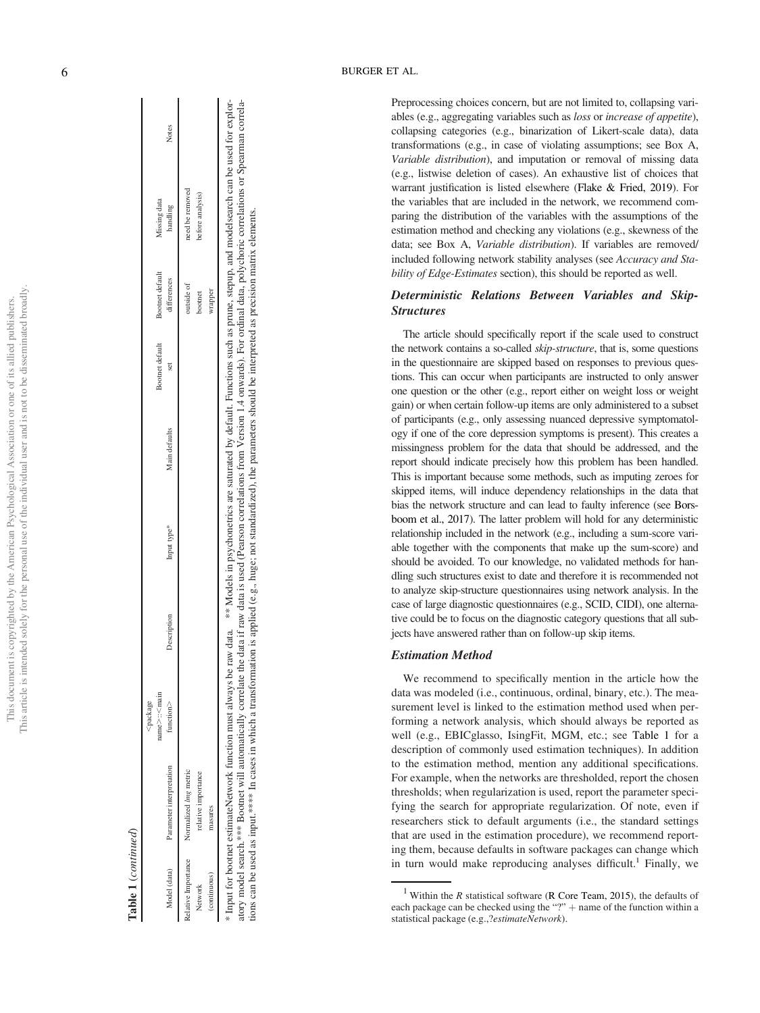|                                                                 | ï      |
|-----------------------------------------------------------------|--------|
|                                                                 |        |
| j                                                               |        |
| ֖֖֖֖֖֖֖ׅ֖ׅׅ֪ׅ֖ׅ֪ׅ֖ׅ֪֪ׅ֪֪֪ׅ֖֚֚֚֚֚֚֚֚֚֚֚֚֚֚֚֚֚֚֚֚֚֚֚֚֚֚֚֚֚֡֝<br>ì |        |
| I                                                               | ì      |
| Ï                                                               |        |
|                                                                 |        |
| ł                                                               |        |
|                                                                 |        |
|                                                                 |        |
|                                                                 |        |
|                                                                 |        |
| j                                                               |        |
|                                                                 |        |
|                                                                 |        |
|                                                                 |        |
|                                                                 |        |
|                                                                 |        |
|                                                                 |        |
|                                                                 |        |
|                                                                 |        |
|                                                                 |        |
|                                                                 |        |
|                                                                 |        |
|                                                                 |        |
|                                                                 |        |
|                                                                 |        |
| $\overline{a}$                                                  |        |
|                                                                 |        |
|                                                                 |        |
|                                                                 | J      |
|                                                                 |        |
|                                                                 |        |
|                                                                 |        |
|                                                                 |        |
| 3<br>¢                                                          |        |
|                                                                 |        |
|                                                                 |        |
| )                                                               |        |
|                                                                 |        |
|                                                                 |        |
|                                                                 |        |
|                                                                 |        |
|                                                                 |        |
| ſ,                                                              |        |
|                                                                 |        |
|                                                                 |        |
|                                                                 |        |
|                                                                 |        |
|                                                                 |        |
|                                                                 |        |
|                                                                 |        |
|                                                                 |        |
|                                                                 | ļ      |
| Ċ                                                               | I      |
|                                                                 |        |
|                                                                 |        |
|                                                                 | i      |
|                                                                 |        |
|                                                                 | í<br>j |
| j<br>ì                                                          | i      |
|                                                                 |        |
| Ī<br>I<br>ĭ                                                     |        |
|                                                                 | Í      |
|                                                                 |        |
| ì                                                               |        |
|                                                                 |        |
|                                                                 |        |
|                                                                 |        |
|                                                                 |        |
|                                                                 |        |
| $\frac{1}{2}$                                                   |        |
|                                                                 |        |
|                                                                 |        |
|                                                                 |        |
|                                                                 |        |
|                                                                 |        |
| $\sim 0.8 \, \text{m}$                                          |        |
|                                                                 |        |
|                                                                 |        |
| ĺ                                                               |        |
|                                                                 | ï      |
|                                                                 | i<br>ł |
|                                                                 |        |

able 1 (continued) Table 1 (continued) ,package

|                     |                                                                                                                                                                                                                                                                                                                                                                                                                                                                                                                                                                                                    | name>:: <main< th=""><th></th><th></th><th></th><th>Bootnet default</th><th>Bootnet default</th><th>Missing data</th><th></th></main<> |             |             |               | Bootnet default | Bootnet default | Missing data     |       |
|---------------------|----------------------------------------------------------------------------------------------------------------------------------------------------------------------------------------------------------------------------------------------------------------------------------------------------------------------------------------------------------------------------------------------------------------------------------------------------------------------------------------------------------------------------------------------------------------------------------------------------|----------------------------------------------------------------------------------------------------------------------------------------|-------------|-------------|---------------|-----------------|-----------------|------------------|-------|
| Model (data)        | Parameter interpretation                                                                                                                                                                                                                                                                                                                                                                                                                                                                                                                                                                           | function                                                                                                                               | Description | Input type* | Main defaults |                 | differences     | handling         | Notes |
| celative Importance | Normalized lmg metric                                                                                                                                                                                                                                                                                                                                                                                                                                                                                                                                                                              |                                                                                                                                        |             |             |               |                 | putside of      | need be removed  |       |
| Network             | relative importance                                                                                                                                                                                                                                                                                                                                                                                                                                                                                                                                                                                |                                                                                                                                        |             |             |               |                 | pootnet         | before analysis) |       |
| (continuous)        | nasures                                                                                                                                                                                                                                                                                                                                                                                                                                                                                                                                                                                            |                                                                                                                                        |             |             |               |                 | wrapper         |                  |       |
|                     | itory model search.**** Bootnet will automatically correlate the data if raw data is used (Pearson correlations from Version 1.4 onwards). For ordinal data, polychoric correlations or Spearman correla-<br>Input for bootnet estimateNetwork function must always be raw data. ** Models in psychonetrics are saturated by default. Functions such as prune, stepup, and modelsearch can be used for explor-<br>ions can be used as input.***** In cases in which a transformation is applied (e.g., huge; not standardized), the parameters should be interpreted as precision matrix elements. |                                                                                                                                        |             |             |               |                 |                 |                  |       |

Preprocessing choices concern, but are not limited to, collapsing variables (e.g., aggregating variables such as loss or increase of appetite), collapsing categories (e.g., binarization of Likert-scale data), data transformations (e.g., in case of violating assumptions; see Box A, Variable distribution), and imputation or removal of missing data (e.g., listwise deletion of cases). An exhaustive list of choices that warrant justi fication is listed elsewhere (Flake & Fried, 2019). For the variables that are included in the network, we recommend comparing the distribution of the variables with the assumptions of the estimation method and checking any violations (e.g., skewness of the data; see Box A, Variable distribution). If variables are removed/ included following network stability analyses (see Accuracy and Stability of Edge-Estimates section), this should be reported as well.

#### Deterministic Relations Between Variables and Skip-**Structures**

The article should speci fically report if the scale used to construct the network contains a so-called skip-structure, that is, some questions in the questionnaire are skipped based on responses to previous questions. This can occur when participants are instructed to only answer one question or the other (e.g., report either on weight loss or weight gain) or when certain follow-up items are only administered to a subset of participants (e.g., only assessing nuanced depressive symptomatology if one of the core depression symptoms is present). This creates a missingness problem for the data that should be addressed, and the report should indicate precisely how this problem has been handled. This is important because some methods, such as imputing zeroes for skipped items, will induce dependency relationships in the data that bias the network structure and can lead to faulty inference (see Borsboom et al., 2017). The latter problem will hold for any deterministic relationship included in the network (e.g., including a sum-score variable together with the components that make up the sum-score) and should be avoided. To our knowledge, no validated methods for handling such structures exist to date and therefore it is recommended not to analyze skip-structure questionnaires using network analysis. In the case of large diagnostic questionnaires (e.g., SCID, CIDI), one alternative could be to focus on the diagnostic category questions that all subjects have answered rather than on follow-up skip items.

#### Estimation Method

We recommend to speci fically mention in the article how the data was modeled (i.e., continuous, ordinal, binary, etc.). The measurement level is linked to the estimation method used when performing a network analysis, which should always be reported as well (e.g., EBICglasso, IsingFit, MGM, etc.; see Table 1 for a description of commonly used estimation techniques). In addition to the estimation method, mention any additional speci fications. For example, when the networks are thresholded, report the chosen thresholds; when regularization is used, report the parameter specifying the search for appropriate regularization. Of note, even if researchers stick to default arguments (i.e., the standard settings that are used in the estimation procedure), we recommend reporting them, because defaults in software packages can change which in turn would make reproducing analyses difficult. <sup>1</sup> Finally, we

<sup>&</sup>lt;sup>1</sup> Within the *R* statistical software (R Core Team, 2015), the defaults of each package can be checked using the "?" + name of the function within a statistical package (e.g.,?estimateNetwork).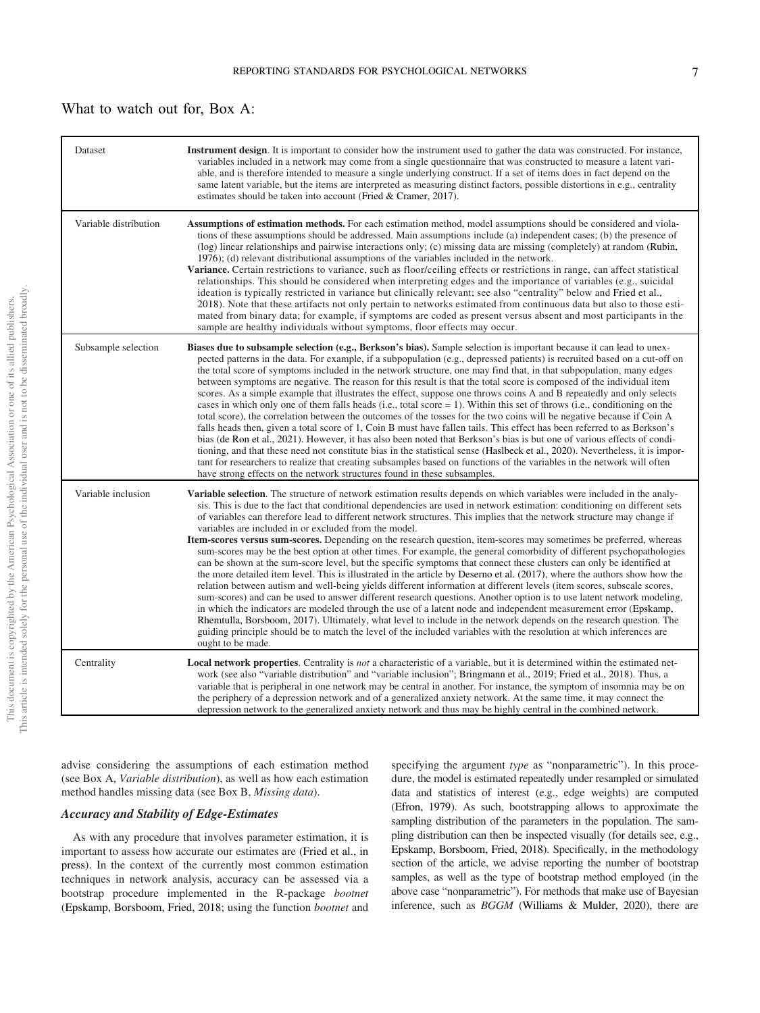#### What to watch out for, Box A:

| Dataset               | <b>Instrument design.</b> It is important to consider how the instrument used to gather the data was constructed. For instance,<br>variables included in a network may come from a single questionnaire that was constructed to measure a latent vari-<br>able, and is therefore intended to measure a single underlying construct. If a set of items does in fact depend on the<br>same latent variable, but the items are interpreted as measuring distinct factors, possible distortions in e.g., centrality<br>estimates should be taken into account (Fried & Cramer, 2017).                                                                                                                                                                                                                                                                                                                                                                                                                                                                                                                                                                                                                                                                                                                                                                                                                                                                                                                                                                                                    |
|-----------------------|--------------------------------------------------------------------------------------------------------------------------------------------------------------------------------------------------------------------------------------------------------------------------------------------------------------------------------------------------------------------------------------------------------------------------------------------------------------------------------------------------------------------------------------------------------------------------------------------------------------------------------------------------------------------------------------------------------------------------------------------------------------------------------------------------------------------------------------------------------------------------------------------------------------------------------------------------------------------------------------------------------------------------------------------------------------------------------------------------------------------------------------------------------------------------------------------------------------------------------------------------------------------------------------------------------------------------------------------------------------------------------------------------------------------------------------------------------------------------------------------------------------------------------------------------------------------------------------|
| Variable distribution | <b>Assumptions of estimation methods.</b> For each estimation method, model assumptions should be considered and viola-<br>tions of these assumptions should be addressed. Main assumptions include (a) independent cases; (b) the presence of<br>(log) linear relationships and pairwise interactions only; (c) missing data are missing (completely) at random (Rubin,<br>1976); (d) relevant distributional assumptions of the variables included in the network.<br>Variance. Certain restrictions to variance, such as floor/ceiling effects or restrictions in range, can affect statistical<br>relationships. This should be considered when interpreting edges and the importance of variables (e.g., suicidal<br>ideation is typically restricted in variance but clinically relevant; see also "centrality" below and Fried et al.,<br>2018). Note that these artifacts not only pertain to networks estimated from continuous data but also to those esti-<br>mated from binary data; for example, if symptoms are coded as present versus absent and most participants in the<br>sample are healthy individuals without symptoms, floor effects may occur.                                                                                                                                                                                                                                                                                                                                                                                                               |
| Subsample selection   | Biases due to subsample selection (e.g., Berkson's bias). Sample selection is important because it can lead to unex-<br>pected patterns in the data. For example, if a subpopulation (e.g., depressed patients) is recruited based on a cut-off on<br>the total score of symptoms included in the network structure, one may find that, in that subpopulation, many edges<br>between symptoms are negative. The reason for this result is that the total score is composed of the individual item<br>scores. As a simple example that illustrates the effect, suppose one throws coins A and B repeatedly and only selects<br>cases in which only one of them falls heads (i.e., total score = 1). Within this set of throws (i.e., conditioning on the<br>total score), the correlation between the outcomes of the tosses for the two coins will be negative because if Coin A<br>falls heads then, given a total score of 1, Coin B must have fallen tails. This effect has been referred to as Berkson's<br>bias (de Ron et al., 2021). However, it has also been noted that Berkson's bias is but one of various effects of condi-<br>tioning, and that these need not constitute bias in the statistical sense (Haslbeck et al., 2020). Nevertheless, it is impor-<br>tant for researchers to realize that creating subsamples based on functions of the variables in the network will often<br>have strong effects on the network structures found in these subsamples.                                                                                                       |
| Variable inclusion    | Variable selection. The structure of network estimation results depends on which variables were included in the analy-<br>sis. This is due to the fact that conditional dependencies are used in network estimation: conditioning on different sets<br>of variables can therefore lead to different network structures. This implies that the network structure may change if<br>variables are included in or excluded from the model.<br>Item-scores versus sum-scores. Depending on the research question, item-scores may sometimes be preferred, whereas<br>sum-scores may be the best option at other times. For example, the general comorbidity of different psychopathologies<br>can be shown at the sum-score level, but the specific symptoms that connect these clusters can only be identified at<br>the more detailed item level. This is illustrated in the article by Deserno et al. (2017), where the authors show how the<br>relation between autism and well-being yields different information at different levels (item scores, subscale scores,<br>sum-scores) and can be used to answer different research questions. Another option is to use latent network modeling,<br>in which the indicators are modeled through the use of a latent node and independent measurement error (Epskamp,<br>Rhemtulla, Borsboom, 2017). Ultimately, what level to include in the network depends on the research question. The<br>guiding principle should be to match the level of the included variables with the resolution at which inferences are<br>ought to be made. |
| Centrality            | <b>Local network properties.</b> Centrality is <i>not</i> a characteristic of a variable, but it is determined within the estimated net-<br>work (see also "variable distribution" and "variable inclusion"; Bringmann et al., 2019; Fried et al., 2018). Thus, a<br>variable that is peripheral in one network may be central in another. For instance, the symptom of insomnia may be on<br>the periphery of a depression network and of a generalized anxiety network. At the same time, it may connect the<br>depression network to the generalized anxiety network and thus may be highly central in the combined network.                                                                                                                                                                                                                                                                                                                                                                                                                                                                                                                                                                                                                                                                                                                                                                                                                                                                                                                                                      |

advise considering the assumptions of each estimation method (see Box A, Variable distribution), as well as how each estimation method handles missing data (see Box B, Missing data).

#### Accuracy and Stability of Edge-Estimates

As with any procedure that involves parameter estimation, it is important to assess how accurate our estimates are (Fried et al., in press). In the context of the currently most common estimation techniques in network analysis, accuracy can be assessed via a bootstrap procedure implemented in the R-package bootnet (Epskamp, Borsboom, Fried, 2018; using the function bootnet and specifying the argument type as "nonparametric"). In this procedure, the model is estimated repeatedly under resampled or simulated data and statistics of interest (e.g., edge weights) are computed (Efron, 1979). As such, bootstrapping allows to approximate the sampling distribution of the parameters in the population. The sampling distribution can then be inspected visually (for details see, e.g., Epskamp, Borsboom, Fried, 2018). Specifically, in the methodology section of the article, we advise reporting the number of bootstrap samples, as well as the type of bootstrap method employed (in the above case "nonparametric"). For methods that make use of Bayesian inference, such as BGGM (Williams & Mulder, 2020), there are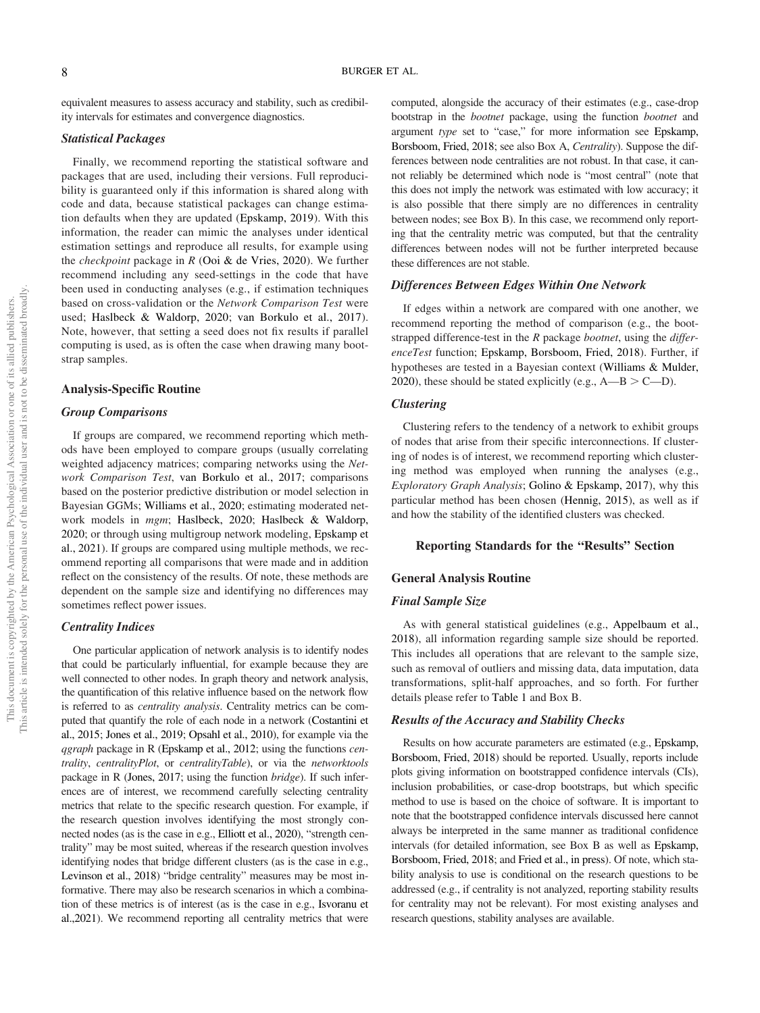equivalent measures to assess accuracy and stability, such as credibility intervals for estimates and convergence diagnostics.

#### Statistical Packages

Finally, we recommend reporting the statistical software and packages that are used, including their versions. Full reproducibility is guaranteed only if this information is shared along with code and data, because statistical packages can change estimation defaults when they are updated (Epskamp, 2019). With this information, the reader can mimic the analyses under identical estimation settings and reproduce all results, for example using the *checkpoint* package in  $R$  (Ooi  $\&$  de Vries, 2020). We further recommend including any seed-settings in the code that have been used in conducting analyses (e.g., if estimation techniques based on cross-validation or the Network Comparison Test were used; Haslbeck & Waldorp, 2020; van Borkulo et al., 2017). Note, however, that setting a seed does not fix results if parallel computing is used, as is often the case when drawing many bootstrap samples.

#### Analysis-Specific Routine

#### Group Comparisons

If groups are compared, we recommend reporting which methods have been employed to compare groups (usually correlating weighted adjacency matrices; comparing networks using the Network Comparison Test, van Borkulo et al., 2017; comparisons based on the posterior predictive distribution or model selection in Bayesian GGMs; Williams et al., 2020; estimating moderated network models in mgm; Haslbeck, 2020; Haslbeck & Waldorp, 2020; or through using multigroup network modeling, Epskamp et al., 2021). If groups are compared using multiple methods, we recommend reporting all comparisons that were made and in addition reflect on the consistency of the results. Of note, these methods are dependent on the sample size and identifying no differences may sometimes reflect power issues.

#### Centrality Indices

One particular application of network analysis is to identify nodes that could be particularly influential, for example because they are well connected to other nodes. In graph theory and network analysis, the quantification of this relative influence based on the network flow is referred to as centrality analysis. Centrality metrics can be computed that quantify the role of each node in a network (Costantini et al., 2015; Jones et al., 2019; Opsahl et al., 2010), for example via the qgraph package in R (Epskamp et al., 2012; using the functions centrality, centralityPlot, or centralityTable), or via the networktools package in R (Jones, 2017; using the function bridge). If such inferences are of interest, we recommend carefully selecting centrality metrics that relate to the specific research question. For example, if the research question involves identifying the most strongly connected nodes (as is the case in e.g., Elliott et al., 2020), "strength centrality" may be most suited, whereas if the research question involves identifying nodes that bridge different clusters (as is the case in e.g., Levinson et al., 2018) "bridge centrality" measures may be most informative. There may also be research scenarios in which a combination of these metrics is of interest (as is the case in e.g., Isvoranu et al.,2021). We recommend reporting all centrality metrics that were computed, alongside the accuracy of their estimates (e.g., case-drop bootstrap in the bootnet package, using the function bootnet and argument type set to "case," for more information see Epskamp, Borsboom, Fried, 2018; see also Box A, Centrality). Suppose the differences between node centralities are not robust. In that case, it cannot reliably be determined which node is "most central" (note that this does not imply the network was estimated with low accuracy; it is also possible that there simply are no differences in centrality between nodes; see Box B). In this case, we recommend only reporting that the centrality metric was computed, but that the centrality differences between nodes will not be further interpreted because these differences are not stable.

#### Differences Between Edges Within One Network

If edges within a network are compared with one another, we recommend reporting the method of comparison (e.g., the bootstrapped difference-test in the  $R$  package *bootnet*, using the *differ*enceTest function; Epskamp, Borsboom, Fried, 2018). Further, if hypotheses are tested in a Bayesian context (Williams & Mulder, 2020), these should be stated explicitly (e.g.,  $A-B > C-D$ ).

#### Clustering

Clustering refers to the tendency of a network to exhibit groups of nodes that arise from their specific interconnections. If clustering of nodes is of interest, we recommend reporting which clustering method was employed when running the analyses (e.g., Exploratory Graph Analysis; Golino & Epskamp, 2017), why this particular method has been chosen (Hennig, 2015), as well as if and how the stability of the identified clusters was checked.

#### Reporting Standards for the "Results" Section

#### General Analysis Routine

#### Final Sample Size

As with general statistical guidelines (e.g., Appelbaum et al., 2018), all information regarding sample size should be reported. This includes all operations that are relevant to the sample size, such as removal of outliers and missing data, data imputation, data transformations, split-half approaches, and so forth. For further details please refer to Table 1 and Box B.

#### Results of the Accuracy and Stability Checks

Results on how accurate parameters are estimated (e.g., Epskamp, Borsboom, Fried, 2018) should be reported. Usually, reports include plots giving information on bootstrapped confidence intervals (CIs), inclusion probabilities, or case-drop bootstraps, but which specific method to use is based on the choice of software. It is important to note that the bootstrapped confidence intervals discussed here cannot always be interpreted in the same manner as traditional confidence intervals (for detailed information, see Box B as well as Epskamp, Borsboom, Fried, 2018; and Fried et al., in press). Of note, which stability analysis to use is conditional on the research questions to be addressed (e.g., if centrality is not analyzed, reporting stability results for centrality may not be relevant). For most existing analyses and research questions, stability analyses are available.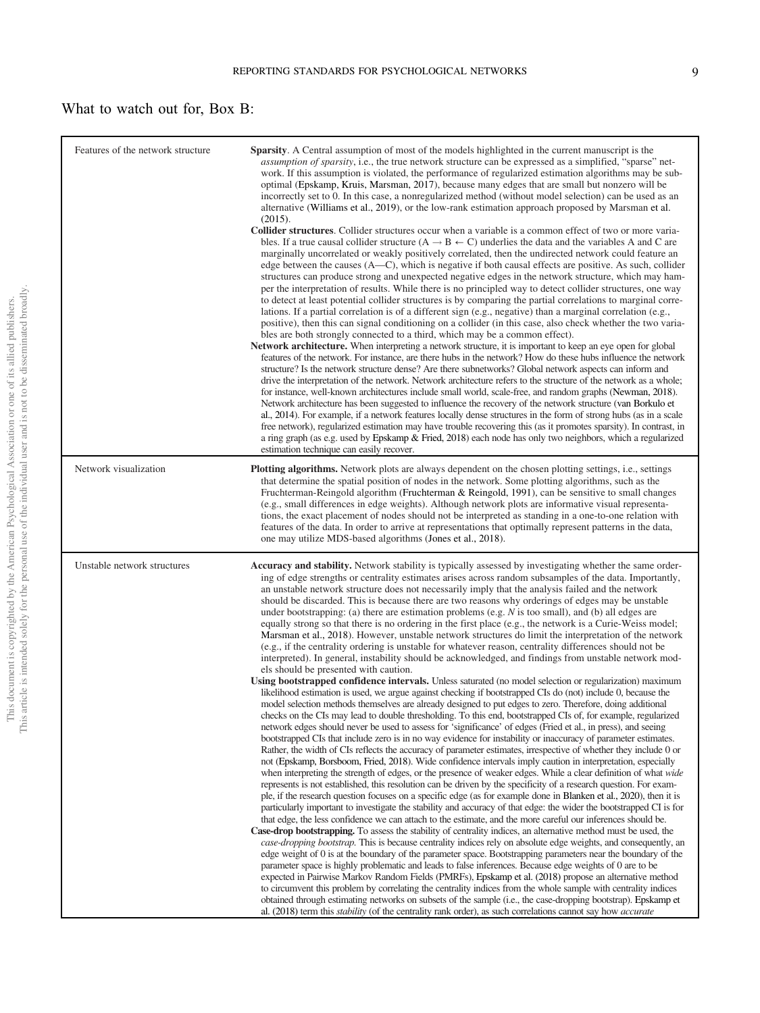### What to watch out for, Box B:

| Features of the network structure | <b>Sparsity.</b> A Central assumption of most of the models highlighted in the current manuscript is the<br><i>assumption of sparsity</i> , i.e., the true network structure can be expressed as a simplified, "sparse" net-<br>work. If this assumption is violated, the performance of regularized estimation algorithms may be sub-<br>optimal (Epskamp, Kruis, Marsman, 2017), because many edges that are small but nonzero will be<br>incorrectly set to 0. In this case, a nonregularized method (without model selection) can be used as an<br>alternative (Williams et al., 2019), or the low-rank estimation approach proposed by Marsman et al.<br>(2015).<br><b>Collider structures.</b> Collider structures occur when a variable is a common effect of two or more varia-<br>bles. If a true causal collider structure $(A \rightarrow B \leftarrow C)$ underlies the data and the variables A and C are<br>marginally uncorrelated or weakly positively correlated, then the undirected network could feature an<br>edge between the causes (A—C), which is negative if both causal effects are positive. As such, collider<br>structures can produce strong and unexpected negative edges in the network structure, which may ham-<br>per the interpretation of results. While there is no principled way to detect collider structures, one way<br>to detect at least potential collider structures is by comparing the partial correlations to marginal corre-<br>lations. If a partial correlation is of a different sign $(e.g., negative)$ than a marginal correlation $(e.g.,$<br>positive), then this can signal conditioning on a collider (in this case, also check whether the two varia-<br>bles are both strongly connected to a third, which may be a common effect).<br><b>Network architecture.</b> When interpreting a network structure, it is important to keep an eye open for global<br>features of the network. For instance, are there hubs in the network? How do these hubs influence the network<br>structure? Is the network structure dense? Are there subnetworks? Global network aspects can inform and<br>drive the interpretation of the network. Network architecture refers to the structure of the network as a whole;<br>for instance, well-known architectures include small world, scale-free, and random graphs (Newman, 2018).<br>Network architecture has been suggested to influence the recovery of the network structure (van Borkulo et<br>al., 2014). For example, if a network features locally dense structures in the form of strong hubs (as in a scale<br>free network), regularized estimation may have trouble recovering this (as it promotes sparsity). In contrast, in<br>a ring graph (as e.g. used by Epskamp & Fried, 2018) each node has only two neighbors, which a regularized<br>estimation technique can easily recover.                                                                                                                                                                                                                                                                                                                                                                                                                                                                                                                                                                                                      |
|-----------------------------------|--------------------------------------------------------------------------------------------------------------------------------------------------------------------------------------------------------------------------------------------------------------------------------------------------------------------------------------------------------------------------------------------------------------------------------------------------------------------------------------------------------------------------------------------------------------------------------------------------------------------------------------------------------------------------------------------------------------------------------------------------------------------------------------------------------------------------------------------------------------------------------------------------------------------------------------------------------------------------------------------------------------------------------------------------------------------------------------------------------------------------------------------------------------------------------------------------------------------------------------------------------------------------------------------------------------------------------------------------------------------------------------------------------------------------------------------------------------------------------------------------------------------------------------------------------------------------------------------------------------------------------------------------------------------------------------------------------------------------------------------------------------------------------------------------------------------------------------------------------------------------------------------------------------------------------------------------------------------------------------------------------------------------------------------------------------------------------------------------------------------------------------------------------------------------------------------------------------------------------------------------------------------------------------------------------------------------------------------------------------------------------------------------------------------------------------------------------------------------------------------------------------------------------------------------------------------------------------------------------------------------------------------------------------------------------------------------------------------------------------------------------------------------------------------------------------------------------------------------------------------------------------------------------------------------------------------------------------------------------------------------------------------------------------------------------------------------------------------------------------------------------------------------------------------------------------------------------------------------------------------------------------------------------------------------------------------------------------------------------------------------------------------------------------------------------------------------------------------------------------------------------------|
| Network visualization             | <b>Plotting algorithms.</b> Network plots are always dependent on the chosen plotting settings, i.e., settings<br>that determine the spatial position of nodes in the network. Some plotting algorithms, such as the<br>Fruchterman-Reingold algorithm (Fruchterman & Reingold, 1991), can be sensitive to small changes<br>(e.g., small differences in edge weights). Although network plots are informative visual representa-<br>tions, the exact placement of nodes should not be interpreted as standing in a one-to-one relation with<br>features of the data. In order to arrive at representations that optimally represent patterns in the data,<br>one may utilize MDS-based algorithms (Jones et al., 2018).                                                                                                                                                                                                                                                                                                                                                                                                                                                                                                                                                                                                                                                                                                                                                                                                                                                                                                                                                                                                                                                                                                                                                                                                                                                                                                                                                                                                                                                                                                                                                                                                                                                                                                                                                                                                                                                                                                                                                                                                                                                                                                                                                                                                                                                                                                                                                                                                                                                                                                                                                                                                                                                                                                                                                                                      |
| Unstable network structures       | Accuracy and stability. Network stability is typically assessed by investigating whether the same order-<br>ing of edge strengths or centrality estimates arises across random subsamples of the data. Importantly,<br>an unstable network structure does not necessarily imply that the analysis failed and the network<br>should be discarded. This is because there are two reasons why orderings of edges may be unstable<br>under bootstrapping: (a) there are estimation problems (e.g. $N$ is too small), and (b) all edges are<br>equally strong so that there is no ordering in the first place (e.g., the network is a Curie-Weiss model;<br>Marsman et al., 2018). However, unstable network structures do limit the interpretation of the network<br>(e.g., if the centrality ordering is unstable for whatever reason, centrality differences should not be<br>interpreted). In general, instability should be acknowledged, and findings from unstable network mod-<br>els should be presented with caution.<br>Using bootstrapped confidence intervals. Unless saturated (no model selection or regularization) maximum<br>likelihood estimation is used, we argue against checking if bootstrapped CIs do (not) include 0, because the<br>model selection methods themselves are already designed to put edges to zero. Therefore, doing additional<br>checks on the CIs may lead to double thresholding. To this end, bootstrapped CIs of, for example, regularized<br>network edges should never be used to assess for 'significance' of edges (Fried et al., in press), and seeing<br>bootstrapped CIs that include zero is in no way evidence for instability or inaccuracy of parameter estimates.<br>Rather, the width of CIs reflects the accuracy of parameter estimates, irrespective of whether they include 0 or<br>not (Epskamp, Borsboom, Fried, 2018). Wide confidence intervals imply caution in interpretation, especially<br>when interpreting the strength of edges, or the presence of weaker edges. While a clear definition of what wide<br>represents is not established, this resolution can be driven by the specificity of a research question. For exam-<br>ple, if the research question focuses on a specific edge (as for example done in Blanken et al., 2020), then it is<br>particularly important to investigate the stability and accuracy of that edge: the wider the bootstrapped CI is for<br>that edge, the less confidence we can attach to the estimate, and the more careful our inferences should be.<br>Case-drop bootstrapping. To assess the stability of centrality indices, an alternative method must be used, the<br>case-dropping bootstrap. This is because centrality indices rely on absolute edge weights, and consequently, an<br>edge weight of 0 is at the boundary of the parameter space. Bootstrapping parameters near the boundary of the<br>parameter space is highly problematic and leads to false inferences. Because edge weights of 0 are to be<br>expected in Pairwise Markov Random Fields (PMRFs), Epskamp et al. (2018) propose an alternative method<br>to circumvent this problem by correlating the centrality indices from the whole sample with centrality indices<br>obtained through estimating networks on subsets of the sample (i.e., the case-dropping bootstrap). Epskamp et<br>al. (2018) term this <i>stability</i> (of the centrality rank order), as such correlations cannot say how <i>accurate</i> |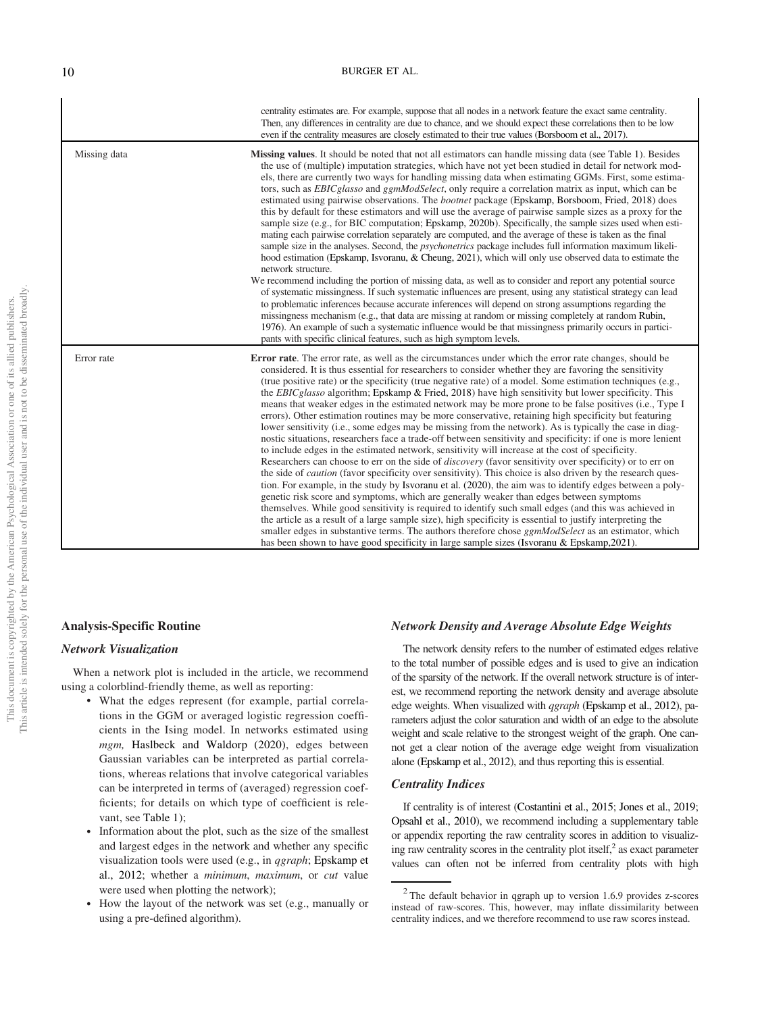| This article is intended solely for the personal use of the individual user and is not to be disseminated broadly<br>This document is copyrighted by the American Psychological Association or one of its allied publishers. |  |  |
|------------------------------------------------------------------------------------------------------------------------------------------------------------------------------------------------------------------------------|--|--|
|                                                                                                                                                                                                                              |  |  |

|              | centrality estimates are. For example, suppose that all nodes in a network feature the exact same centrality.<br>Then, any differences in centrality are due to chance, and we should expect these correlations then to be low<br>even if the centrality measures are closely estimated to their true values (Borsboom et al., 2017).                                                                                                                                                                                                                                                                                                                                                                                                                                                                                                                                                                                                                                                                                                                                                                                                                                                                                                                                                                                                                                                                                                                                                                                                                                                                                                                                                                                                                                                                                                                                                |
|--------------|--------------------------------------------------------------------------------------------------------------------------------------------------------------------------------------------------------------------------------------------------------------------------------------------------------------------------------------------------------------------------------------------------------------------------------------------------------------------------------------------------------------------------------------------------------------------------------------------------------------------------------------------------------------------------------------------------------------------------------------------------------------------------------------------------------------------------------------------------------------------------------------------------------------------------------------------------------------------------------------------------------------------------------------------------------------------------------------------------------------------------------------------------------------------------------------------------------------------------------------------------------------------------------------------------------------------------------------------------------------------------------------------------------------------------------------------------------------------------------------------------------------------------------------------------------------------------------------------------------------------------------------------------------------------------------------------------------------------------------------------------------------------------------------------------------------------------------------------------------------------------------------|
| Missing data | <b>Missing values.</b> It should be noted that not all estimators can handle missing data (see Table 1). Besides<br>the use of (multiple) imputation strategies, which have not yet been studied in detail for network mod-<br>els, there are currently two ways for handling missing data when estimating GGMs. First, some estima-<br>tors, such as <i>EBICglasso</i> and <i>ggmModSelect</i> , only require a correlation matrix as input, which can be<br>estimated using pairwise observations. The <i>bootnet</i> package (Epskamp, Borsboom, Fried, 2018) does<br>this by default for these estimators and will use the average of pairwise sample sizes as a proxy for the<br>sample size (e.g., for BIC computation; Epskamp, 2020b). Specifically, the sample sizes used when esti-<br>mating each pairwise correlation separately are computed, and the average of these is taken as the final<br>sample size in the analyses. Second, the <i>psychonetrics</i> package includes full information maximum likeli-<br>hood estimation (Epskamp, Isvoranu, & Cheung, 2021), which will only use observed data to estimate the<br>network structure.<br>We recommend including the portion of missing data, as well as to consider and report any potential source<br>of systematic missingness. If such systematic influences are present, using any statistical strategy can lead<br>to problematic inferences because accurate inferences will depend on strong assumptions regarding the<br>missingness mechanism (e.g., that data are missing at random or missing completely at random Rubin,<br>1976). An example of such a systematic influence would be that missingness primarily occurs in partici-<br>pants with specific clinical features, such as high symptom levels.                                                                                        |
| Error rate   | <b>Error rate.</b> The error rate, as well as the circumstances under which the error rate changes, should be<br>considered. It is thus essential for researchers to consider whether they are favoring the sensitivity<br>(true positive rate) or the specificity (true negative rate) of a model. Some estimation techniques (e.g.,<br>the <i>EBICglasso</i> algorithm; Epskamp & Fried, 2018) have high sensitivity but lower specificity. This<br>means that weaker edges in the estimated network may be more prone to be false positives (i.e., Type I<br>errors). Other estimation routines may be more conservative, retaining high specificity but featuring<br>lower sensitivity (i.e., some edges may be missing from the network). As is typically the case in diag-<br>nostic situations, researchers face a trade-off between sensitivity and specificity: if one is more lenient<br>to include edges in the estimated network, sensitivity will increase at the cost of specificity.<br>Researchers can choose to err on the side of <i>discovery</i> (favor sensitivity over specificity) or to err on<br>the side of <i>caution</i> (favor specificity over sensitivity). This choice is also driven by the research ques-<br>tion. For example, in the study by Isvoranu et al. (2020), the aim was to identify edges between a poly-<br>genetic risk score and symptoms, which are generally weaker than edges between symptoms<br>themselves. While good sensitivity is required to identify such small edges (and this was achieved in<br>the article as a result of a large sample size), high specificity is essential to justify interpreting the<br>smaller edges in substantive terms. The authors therefore chose <i>ggmModSelect</i> as an estimator, which<br>has been shown to have good specificity in large sample sizes (Isvoranu & Epskamp, 2021). |

#### Analysis-Specific Routine

#### Network Visualization

When a network plot is included in the article, we recommend using a colorblind-friendly theme, as well as reporting:

- What the edges represent (for example, partial correlations in the GGM or averaged logistic regression coefficients in the Ising model. In networks estimated using mgm, Haslbeck and Waldorp (2020), edges between Gaussian variables can be interpreted as partial correlations, whereas relations that involve categorical variables can be interpreted in terms of (averaged) regression coefficients; for details on which type of coefficient is relevant, see Table 1);
- Information about the plot, such as the size of the smallest and largest edges in the network and whether any specific visualization tools were used (e.g., in qgraph; Epskamp et al., 2012; whether a minimum, maximum, or cut value were used when plotting the network);
- How the layout of the network was set (e.g., manually or using a pre-defined algorithm).

#### Network Density and Average Absolute Edge Weights

The network density refers to the number of estimated edges relative to the total number of possible edges and is used to give an indication of the sparsity of the network. If the overall network structure is of interest, we recommend reporting the network density and average absolute edge weights. When visualized with qgraph (Epskamp et al., 2012), parameters adjust the color saturation and width of an edge to the absolute weight and scale relative to the strongest weight of the graph. One cannot get a clear notion of the average edge weight from visualization alone (Epskamp et al., 2012), and thus reporting this is essential.

#### Centrality Indices

If centrality is of interest (Costantini et al., 2015; Jones et al., 2019; Opsahl et al., 2010), we recommend including a supplementary table or appendix reporting the raw centrality scores in addition to visualizing raw centrality scores in the centrality plot itself, $\lambda^2$  as exact parameter values can often not be inferred from centrality plots with high

 $2$  The default behavior in qgraph up to version 1.6.9 provides z-scores instead of raw-scores. This, however, may inflate dissimilarity between centrality indices, and we therefore recommend to use raw scores instead.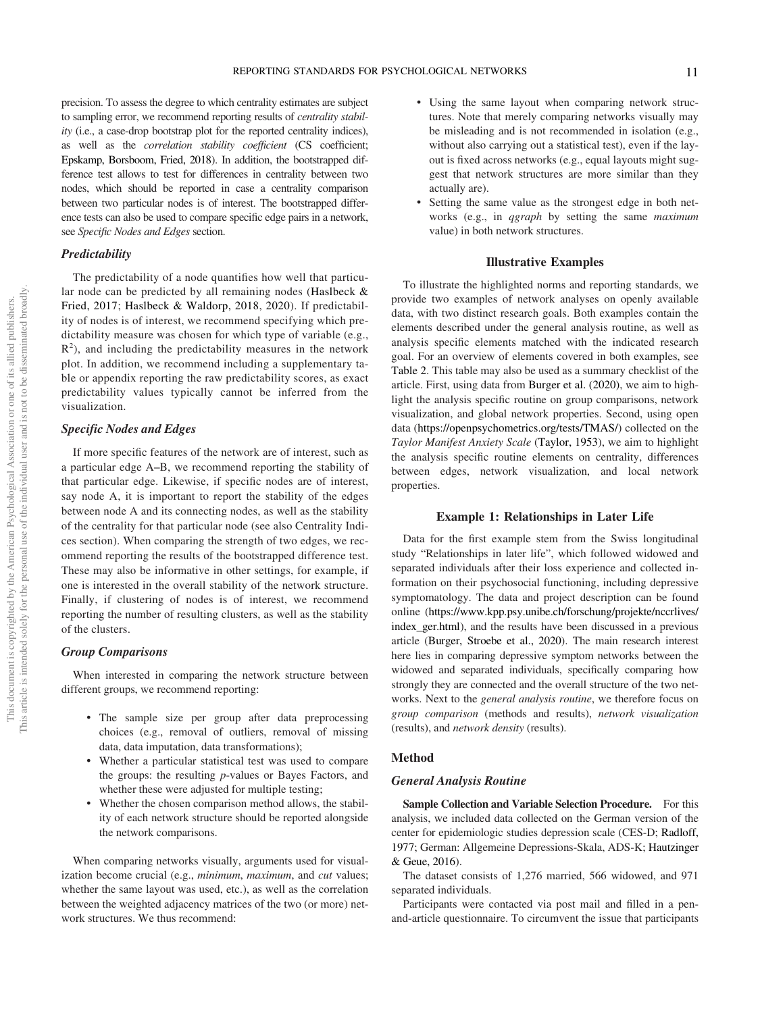precision. To assess the degree to which centrality estimates are subject to sampling error, we recommend reporting results of centrality stability (i.e., a case-drop bootstrap plot for the reported centrality indices), as well as the *correlation stability coefficient* (CS coefficient; Epskamp, Borsboom, Fried, 2018). In addition, the bootstrapped difference test allows to test for differences in centrality between two nodes, which should be reported in case a centrality comparison between two particular nodes is of interest. The bootstrapped difference tests can also be used to compare specific edge pairs in a network, see Specific Nodes and Edges section.

#### **Predictability**

The predictability of a node quantifies how well that particular node can be predicted by all remaining nodes (Haslbeck & Fried, 2017; Haslbeck & Waldorp, 2018, 2020). If predictability of nodes is of interest, we recommend specifying which predictability measure was chosen for which type of variable (e.g.,  $R<sup>2</sup>$ ), and including the predictability measures in the network plot. In addition, we recommend including a supplementary table or appendix reporting the raw predictability scores, as exact predictability values typically cannot be inferred from the visualization.

#### Specific Nodes and Edges

If more specific features of the network are of interest, such as a particular edge A–B, we recommend reporting the stability of that particular edge. Likewise, if specific nodes are of interest, say node A, it is important to report the stability of the edges between node A and its connecting nodes, as well as the stability of the centrality for that particular node (see also Centrality Indices section). When comparing the strength of two edges, we recommend reporting the results of the bootstrapped difference test. These may also be informative in other settings, for example, if one is interested in the overall stability of the network structure. Finally, if clustering of nodes is of interest, we recommend reporting the number of resulting clusters, as well as the stability of the clusters.

#### Group Comparisons

When interested in comparing the network structure between different groups, we recommend reporting:

- The sample size per group after data preprocessing choices (e.g., removal of outliers, removal of missing data, data imputation, data transformations);
- Whether a particular statistical test was used to compare the groups: the resulting p-values or Bayes Factors, and whether these were adjusted for multiple testing;
- Whether the chosen comparison method allows, the stability of each network structure should be reported alongside the network comparisons.

When comparing networks visually, arguments used for visualization become crucial (e.g., minimum, maximum, and cut values; whether the same layout was used, etc.), as well as the correlation between the weighted adjacency matrices of the two (or more) network structures. We thus recommend:

- Using the same layout when comparing network structures. Note that merely comparing networks visually may be misleading and is not recommended in isolation (e.g., without also carrying out a statistical test), even if the layout is fixed across networks (e.g., equal layouts might suggest that network structures are more similar than they actually are).
- Setting the same value as the strongest edge in both networks (e.g., in qgraph by setting the same maximum value) in both network structures.

#### Illustrative Examples

To illustrate the highlighted norms and reporting standards, we provide two examples of network analyses on openly available data, with two distinct research goals. Both examples contain the elements described under the general analysis routine, as well as analysis specific elements matched with the indicated research goal. For an overview of elements covered in both examples, see [Table 2](#page-12-0). This table may also be used as a summary checklist of the article. First, using data from Burger et al. (2020), we aim to highlight the analysis specific routine on group comparisons, network visualization, and global network properties. Second, using open data [\(https://openpsychometrics.org/tests/TMAS/](https://openpsychometrics.org/tests/TMAS/)) collected on the Taylor Manifest Anxiety Scale (Taylor, 1953), we aim to highlight the analysis specific routine elements on centrality, differences between edges, network visualization, and local network properties.

#### Example 1: Relationships in Later Life

Data for the first example stem from the Swiss longitudinal study "Relationships in later life", which followed widowed and separated individuals after their loss experience and collected information on their psychosocial functioning, including depressive symptomatology. The data and project description can be found online [\(https://www.kpp.psy.unibe.ch/forschung/projekte/nccrlives/](https://www.kpp.psy.unibe.ch/forschung/projekte/nccrlives/index_ger.html) [index\\_ger.html\)](https://www.kpp.psy.unibe.ch/forschung/projekte/nccrlives/index_ger.html), and the results have been discussed in a previous article (Burger, Stroebe et al., 2020). The main research interest here lies in comparing depressive symptom networks between the widowed and separated individuals, specifically comparing how strongly they are connected and the overall structure of the two networks. Next to the general analysis routine, we therefore focus on group comparison (methods and results), network visualization (results), and network density (results).

#### **Method**

#### General Analysis Routine

Sample Collection and Variable Selection Procedure. For this analysis, we included data collected on the German version of the center for epidemiologic studies depression scale (CES-D; Radloff, 1977; German: Allgemeine Depressions-Skala, ADS-K; Hautzinger & Geue, 2016).

The dataset consists of 1,276 married, 566 widowed, and 971 separated individuals.

Participants were contacted via post mail and filled in a penand-article questionnaire. To circumvent the issue that participants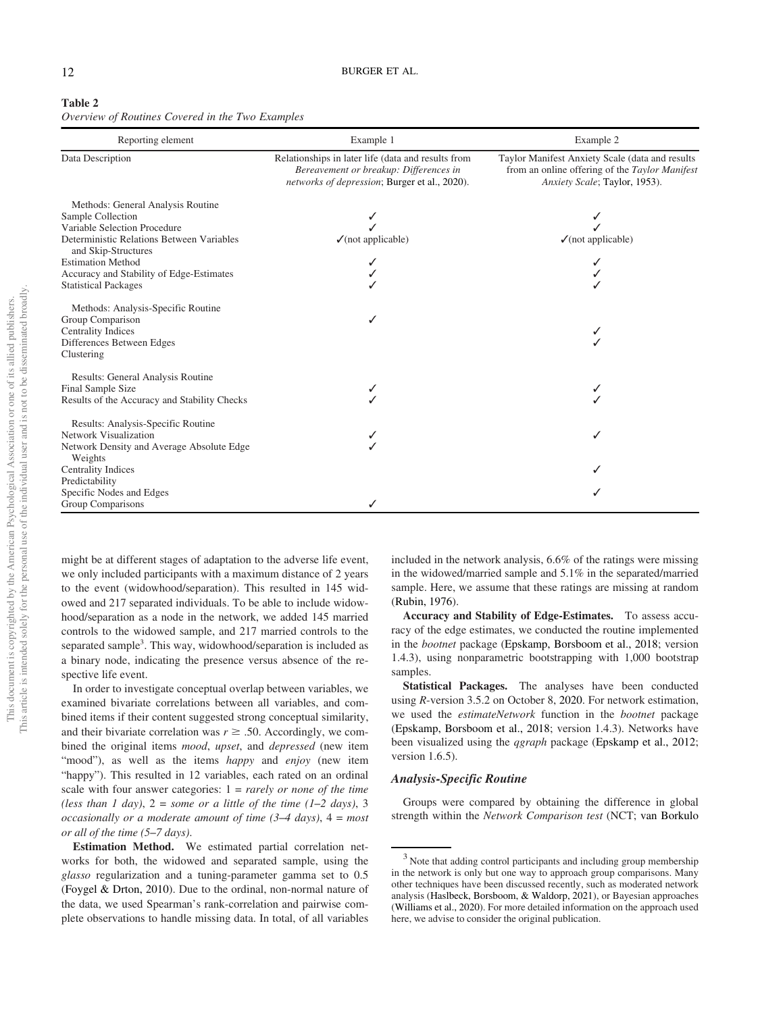#### <span id="page-12-0"></span>Table 2

Overview of Routines Covered in the Two Examples

| Reporting element                                                                                                                                                                                                                  | Example 1                                                                                                                                     | Example 2                                                                                                                          |
|------------------------------------------------------------------------------------------------------------------------------------------------------------------------------------------------------------------------------------|-----------------------------------------------------------------------------------------------------------------------------------------------|------------------------------------------------------------------------------------------------------------------------------------|
| Data Description                                                                                                                                                                                                                   | Relationships in later life (data and results from<br>Bereavement or breakup: Differences in<br>networks of depression; Burger et al., 2020). | Taylor Manifest Anxiety Scale (data and results<br>from an online offering of the Taylor Manifest<br>Anxiety Scale; Taylor, 1953). |
| Methods: General Analysis Routine<br>Sample Collection<br>Variable Selection Procedure<br>Deterministic Relations Between Variables<br>and Skip-Structures<br><b>Estimation Method</b><br>Accuracy and Stability of Edge-Estimates | $\checkmark$ (not applicable)                                                                                                                 | $\sqrt{\text{(not applicable)}}$                                                                                                   |
| <b>Statistical Packages</b><br>Methods: Analysis-Specific Routine<br>Group Comparison<br><b>Centrality Indices</b><br>Differences Between Edges<br>Clustering                                                                      |                                                                                                                                               |                                                                                                                                    |
| Results: General Analysis Routine<br>Final Sample Size<br>Results of the Accuracy and Stability Checks                                                                                                                             |                                                                                                                                               |                                                                                                                                    |
| Results: Analysis-Specific Routine<br>Network Visualization<br>Network Density and Average Absolute Edge<br>Weights                                                                                                                |                                                                                                                                               |                                                                                                                                    |
| <b>Centrality Indices</b>                                                                                                                                                                                                          |                                                                                                                                               |                                                                                                                                    |
| Predictability<br>Specific Nodes and Edges<br>Group Comparisons                                                                                                                                                                    |                                                                                                                                               |                                                                                                                                    |

might be at different stages of adaptation to the adverse life event, we only included participants with a maximum distance of 2 years to the event (widowhood/separation). This resulted in 145 widowed and 217 separated individuals. To be able to include widowhood/separation as a node in the network, we added 145 married controls to the widowed sample, and 217 married controls to the separated sample<sup>3</sup>. This way, widowhood/separation is included as a binary node, indicating the presence versus absence of the respective life event.

In order to investigate conceptual overlap between variables, we examined bivariate correlations between all variables, and combined items if their content suggested strong conceptual similarity, and their bivariate correlation was  $r \geq .50$ . Accordingly, we combined the original items *mood*, *upset*, and *depressed* (new item "mood"), as well as the items happy and enjoy (new item "happy"). This resulted in 12 variables, each rated on an ordinal scale with four answer categories:  $1 = rarely$  or none of the time (less than 1 day),  $2 =$  some or a little of the time (1–2 days), 3 occasionally or a moderate amount of time  $(3-4 \text{ days})$ ,  $4 = \text{most}$ or all of the time (5–7 days).

Estimation Method. We estimated partial correlation networks for both, the widowed and separated sample, using the glasso regularization and a tuning-parameter gamma set to 0.5 (Foygel & Drton, 2010). Due to the ordinal, non-normal nature of the data, we used Spearman's rank-correlation and pairwise complete observations to handle missing data. In total, of all variables included in the network analysis, 6.6% of the ratings were missing in the widowed/married sample and 5.1% in the separated/married sample. Here, we assume that these ratings are missing at random (Rubin, 1976).

Accuracy and Stability of Edge-Estimates. To assess accuracy of the edge estimates, we conducted the routine implemented in the bootnet package (Epskamp, Borsboom et al., 2018; version 1.4.3), using nonparametric bootstrapping with 1,000 bootstrap samples.

Statistical Packages. The analyses have been conducted using R-version 3.5.2 on October 8, 2020. For network estimation, we used the estimateNetwork function in the bootnet package (Epskamp, Borsboom et al., 2018; version 1.4.3). Networks have been visualized using the *qgraph* package (Epskamp et al., 2012; version 1.6.5).

#### Analysis-Specific Routine

Groups were compared by obtaining the difference in global strength within the Network Comparison test (NCT; van Borkulo

 $3$  Note that adding control participants and including group membership in the network is only but one way to approach group comparisons. Many other techniques have been discussed recently, such as moderated network analysis (Haslbeck, Borsboom, & Waldorp, 2021), or Bayesian approaches (Williams et al., 2020). For more detailed information on the approach used here, we advise to consider the original publication.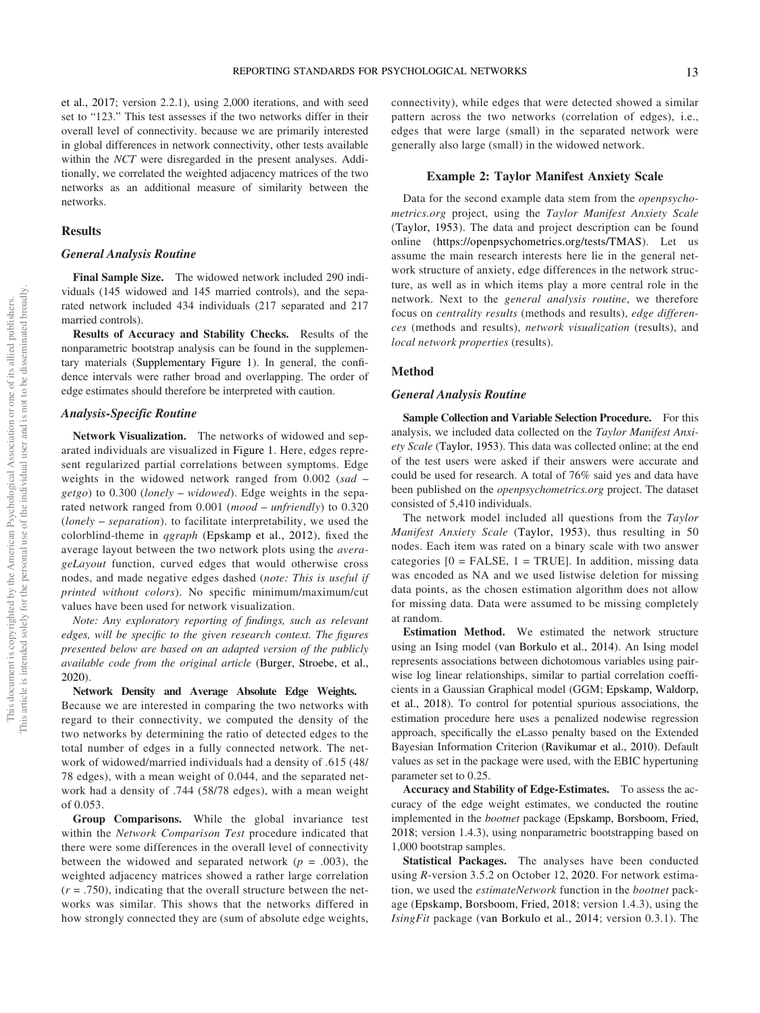et al., 2017; version 2.2.1), using 2,000 iterations, and with seed set to "123." This test assesses if the two networks differ in their overall level of connectivity. because we are primarily interested in global differences in network connectivity, other tests available within the NCT were disregarded in the present analyses. Additionally, we correlated the weighted adjacency matrices of the two networks as an additional measure of similarity between the networks.

#### **Results**

#### General Analysis Routine

Final Sample Size. The widowed network included 290 individuals (145 widowed and 145 married controls), and the separated network included 434 individuals (217 separated and 217 married controls).

Results of Accuracy and Stability Checks. Results of the nonparametric bootstrap analysis can be found in the supplementary materials [\(Supplementary Figure 1](https://doi.org/10.1037/met0000471.supp)). In general, the confidence intervals were rather broad and overlapping. The order of edge estimates should therefore be interpreted with caution.

#### Analysis-Specific Routine

Network Visualization. The networks of widowed and separated individuals are visualized in Figure 1. Here, edges represent regularized partial correlations between symptoms. Edge weights in the widowed network ranged from 0.002 (sad  $getgo)$  to 0.300 (lonely – widowed). Edge weights in the separated network ranged from 0.001 (mood - unfriendly) to 0.320 (lonely – separation). to facilitate interpretability, we used the colorblind-theme in qgraph (Epskamp et al., 2012), fixed the average layout between the two network plots using the averageLayout function, curved edges that would otherwise cross nodes, and made negative edges dashed (note: This is useful if printed without colors). No specific minimum/maximum/cut values have been used for network visualization.

Note: Any exploratory reporting of findings, such as relevant edges, will be specific to the given research context. The figures presented below are based on an adapted version of the publicly available code from the original article (Burger, Stroebe, et al., 2020).

#### Network Density and Average Absolute Edge Weights.

Because we are interested in comparing the two networks with regard to their connectivity, we computed the density of the two networks by determining the ratio of detected edges to the total number of edges in a fully connected network. The network of widowed/married individuals had a density of .615 (48/ 78 edges), with a mean weight of 0.044, and the separated network had a density of .744 (58/78 edges), with a mean weight of 0.053.

Group Comparisons. While the global invariance test within the Network Comparison Test procedure indicated that there were some differences in the overall level of connectivity between the widowed and separated network ( $p = .003$ ), the weighted adjacency matrices showed a rather large correlation  $(r = .750)$ , indicating that the overall structure between the networks was similar. This shows that the networks differed in how strongly connected they are (sum of absolute edge weights,

connectivity), while edges that were detected showed a similar pattern across the two networks (correlation of edges), i.e., edges that were large (small) in the separated network were generally also large (small) in the widowed network.

#### Example 2: Taylor Manifest Anxiety Scale

Data for the second example data stem from the openpsychometrics.org project, using the Taylor Manifest Anxiety Scale (Taylor, 1953). The data and project description can be found online ([https://openpsychometrics.org/tests/TMAS\)](https://openpsychometrics.org/tests/TMAS). Let us assume the main research interests here lie in the general network structure of anxiety, edge differences in the network structure, as well as in which items play a more central role in the network. Next to the general analysis routine, we therefore focus on centrality results (methods and results), edge differences (methods and results), network visualization (results), and local network properties (results).

#### Method

#### General Analysis Routine

Sample Collection and Variable Selection Procedure. For this analysis, we included data collected on the Taylor Manifest Anxiety Scale (Taylor, 1953). This data was collected online; at the end of the test users were asked if their answers were accurate and could be used for research. A total of 76% said yes and data have been published on the openpsychometrics.org project. The dataset consisted of 5,410 individuals.

The network model included all questions from the Taylor Manifest Anxiety Scale (Taylor, 1953), thus resulting in 50 nodes. Each item was rated on a binary scale with two answer categories  $[0 = FALSE, 1 = TRUE]$ . In addition, missing data was encoded as NA and we used listwise deletion for missing data points, as the chosen estimation algorithm does not allow for missing data. Data were assumed to be missing completely at random.

Estimation Method. We estimated the network structure using an Ising model (van Borkulo et al., 2014). An Ising model represents associations between dichotomous variables using pairwise log linear relationships, similar to partial correlation coefficients in a Gaussian Graphical model (GGM; Epskamp, Waldorp, et al., 2018). To control for potential spurious associations, the estimation procedure here uses a penalized nodewise regression approach, specifically the eLasso penalty based on the Extended Bayesian Information Criterion (Ravikumar et al., 2010). Default values as set in the package were used, with the EBIC hypertuning parameter set to 0.25.

Accuracy and Stability of Edge-Estimates. To assess the accuracy of the edge weight estimates, we conducted the routine implemented in the bootnet package (Epskamp, Borsboom, Fried, 2018; version 1.4.3), using nonparametric bootstrapping based on 1,000 bootstrap samples.

Statistical Packages. The analyses have been conducted using R-version 3.5.2 on October 12, 2020. For network estimation, we used the *estimateNetwork* function in the *bootnet* package (Epskamp, Borsboom, Fried, 2018; version 1.4.3), using the IsingFit package (van Borkulo et al., 2014; version 0.3.1). The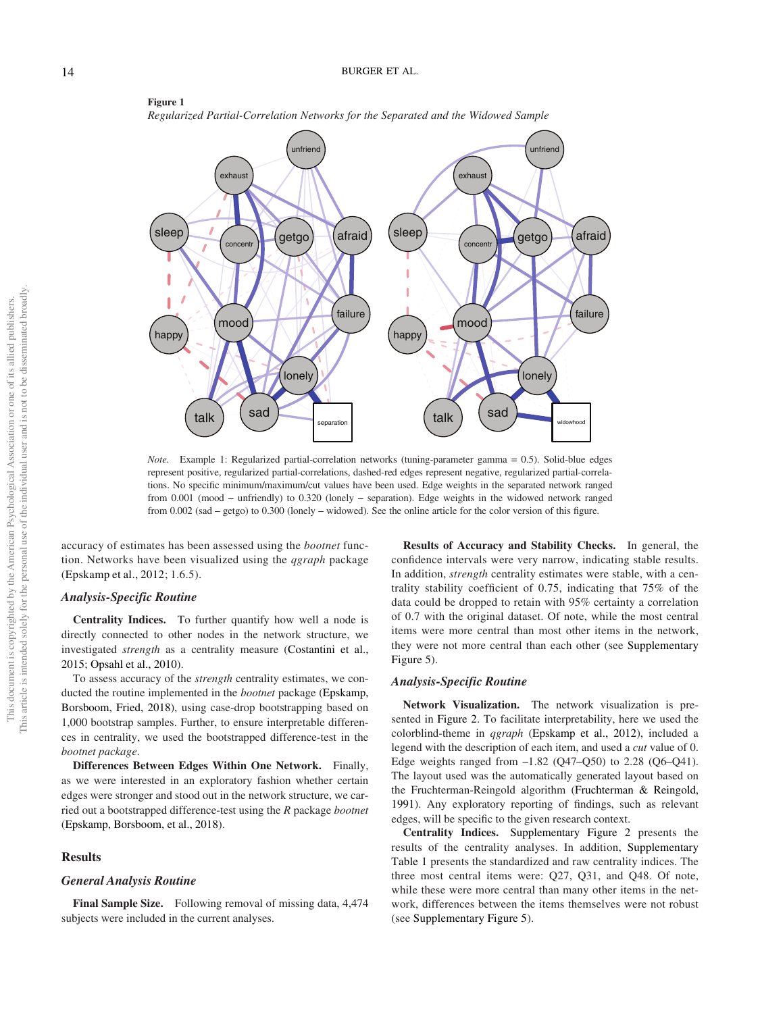

Figure 1 Regularized Partial-Correlation Networks for the Separated and the Widowed Sample

Note. Example 1: Regularized partial-correlation networks (tuning-parameter gamma = 0.5). Solid-blue edges represent positive, regularized partial-correlations, dashed-red edges represent negative, regularized partial-correlations. No specific minimum/maximum/cut values have been used. Edge weights in the separated network ranged from 0.001 (mood – unfriendly) to 0.320 (lonely – separation). Edge weights in the widowed network ranged from 0.002 (sad – getgo) to 0.300 (lonely – widowed). See the online article for the color version of this figure.

accuracy of estimates has been assessed using the bootnet function. Networks have been visualized using the qgraph package (Epskamp et al., 2012; 1.6.5).

#### Analysis-Specific Routine

Centrality Indices. To further quantify how well a node is directly connected to other nodes in the network structure, we investigated strength as a centrality measure (Costantini et al., 2015; Opsahl et al., 2010).

To assess accuracy of the strength centrality estimates, we conducted the routine implemented in the bootnet package (Epskamp, Borsboom, Fried, 2018), using case-drop bootstrapping based on 1,000 bootstrap samples. Further, to ensure interpretable differences in centrality, we used the bootstrapped difference-test in the bootnet package.

Differences Between Edges Within One Network. Finally, as we were interested in an exploratory fashion whether certain edges were stronger and stood out in the network structure, we carried out a bootstrapped difference-test using the R package bootnet (Epskamp, Borsboom, et al., 2018).

#### **Results**

#### General Analysis Routine

Final Sample Size. Following removal of missing data, 4,474 subjects were included in the current analyses.

Results of Accuracy and Stability Checks. In general, the confidence intervals were very narrow, indicating stable results. In addition, *strength* centrality estimates were stable, with a centrality stability coefficient of 0.75, indicating that 75% of the data could be dropped to retain with 95% certainty a correlation of 0.7 with the original dataset. Of note, while the most central items were more central than most other items in the network, they were not more central than each other (see [Supplementary](https://doi.org/10.1037/met0000471.supp) [Figure 5\)](https://doi.org/10.1037/met0000471.supp).

#### Analysis-Specific Routine

Network Visualization. The network visualization is presented in Figure 2. To facilitate interpretability, here we used the colorblind-theme in qgraph (Epskamp et al., 2012), included a legend with the description of each item, and used a cut value of 0. Edge weights ranged from  $-1.82$  (Q47–Q50) to 2.28 (Q6–Q41). The layout used was the automatically generated layout based on the Fruchterman-Reingold algorithm (Fruchterman & Reingold, 1991). Any exploratory reporting of findings, such as relevant edges, will be specific to the given research context.

Centrality Indices. [Supplementary Figure 2](https://doi.org/10.1037/met0000471.supp) presents the results of the centrality analyses. In addition, [Supplementary](https://doi.org/10.1037/met0000471.supp) [Table 1](https://doi.org/10.1037/met0000471.supp) presents the standardized and raw centrality indices. The three most central items were: Q27, Q31, and Q48. Of note, while these were more central than many other items in the network, differences between the items themselves were not robust (see [Supplementary Figure 5\)](https://doi.org/10.1037/met0000471.supp).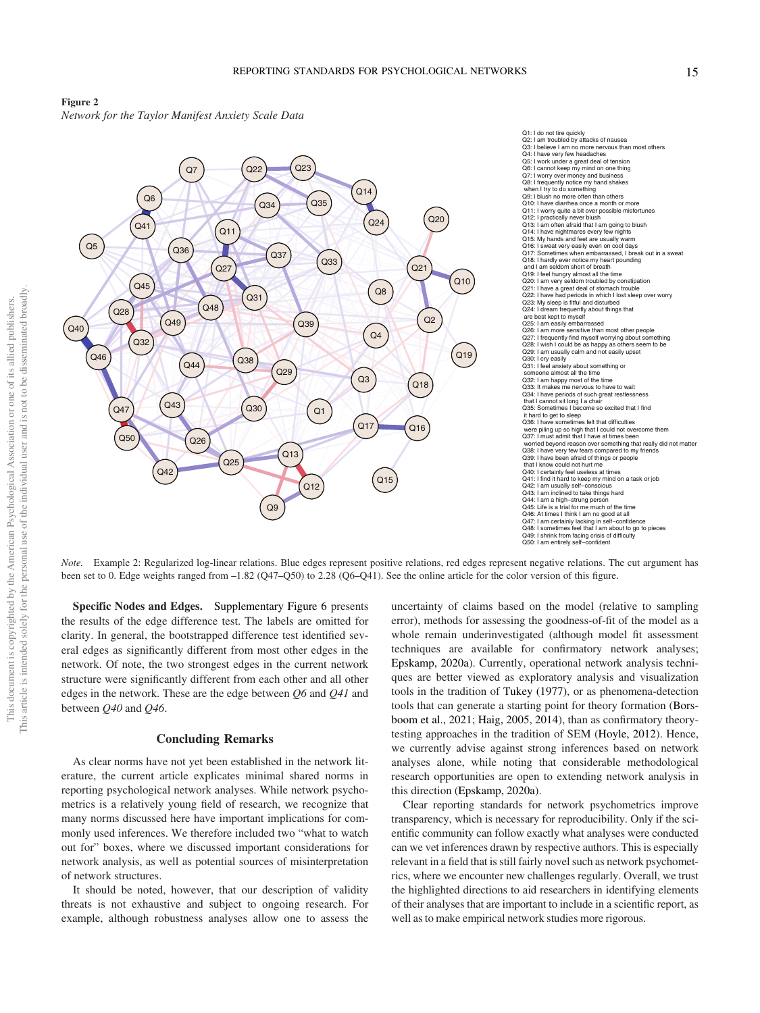



Note. Example 2: Regularized log-linear relations. Blue edges represent positive relations, red edges represent negative relations. The cut argument has been set to 0. Edge weights ranged from –1.82 (Q47–Q50) to 2.28 (Q6–Q41). See the online article for the color version of this figure.

Specific Nodes and Edges. [Supplementary Figure 6](https://doi.org/10.1037/met0000471.supp) presents the results of the edge difference test. The labels are omitted for clarity. In general, the bootstrapped difference test identified several edges as significantly different from most other edges in the network. Of note, the two strongest edges in the current network structure were significantly different from each other and all other edges in the network. These are the edge between Q6 and Q41 and between Q40 and Q46.

#### Concluding Remarks

As clear norms have not yet been established in the network literature, the current article explicates minimal shared norms in reporting psychological network analyses. While network psychometrics is a relatively young field of research, we recognize that many norms discussed here have important implications for commonly used inferences. We therefore included two "what to watch out for" boxes, where we discussed important considerations for network analysis, as well as potential sources of misinterpretation of network structures.

It should be noted, however, that our description of validity threats is not exhaustive and subject to ongoing research. For example, although robustness analyses allow one to assess the

uncertainty of claims based on the model (relative to sampling error), methods for assessing the goodness-of-fit of the model as a whole remain underinvestigated (although model fit assessment techniques are available for confirmatory network analyses; Epskamp, 2020a). Currently, operational network analysis techniques are better viewed as exploratory analysis and visualization tools in the tradition of Tukey (1977), or as phenomena-detection tools that can generate a starting point for theory formation (Borsboom et al., 2021; Haig, 2005, 2014), than as confirmatory theorytesting approaches in the tradition of SEM (Hoyle, 2012). Hence, we currently advise against strong inferences based on network analyses alone, while noting that considerable methodological research opportunities are open to extending network analysis in this direction (Epskamp, 2020a).

Clear reporting standards for network psychometrics improve transparency, which is necessary for reproducibility. Only if the scientific community can follow exactly what analyses were conducted can we vet inferences drawn by respective authors. This is especially relevant in a field that is still fairly novel such as network psychometrics, where we encounter new challenges regularly. Overall, we trust the highlighted directions to aid researchers in identifying elements of their analyses that are important to include in a scientific report, as well as to make empirical network studies more rigorous.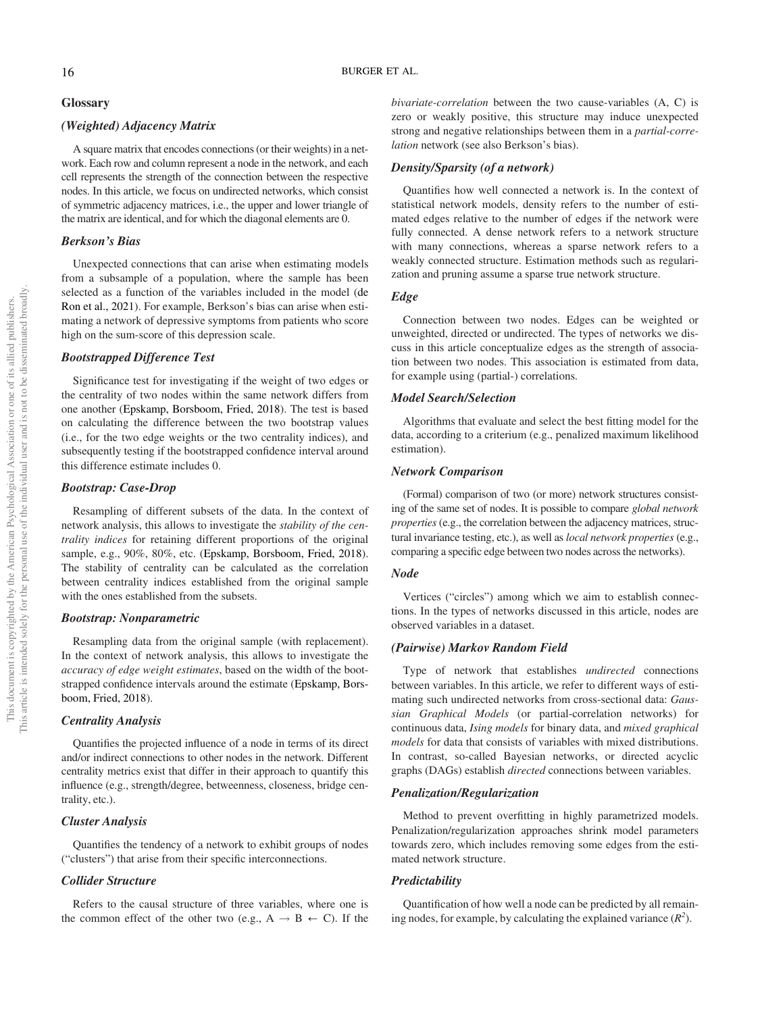#### 16 BURGER ET AL.

#### Glossary

#### (Weighted) Adjacency Matrix

A square matrix that encodes connections (or their weights) in a network. Each row and column represent a node in the network, and each cell represents the strength of the connection between the respective nodes. In this article, we focus on undirected networks, which consist of symmetric adjacency matrices, i.e., the upper and lower triangle of the matrix are identical, and for which the diagonal elements are 0.

#### Berkson's Bias

Unexpected connections that can arise when estimating models from a subsample of a population, where the sample has been selected as a function of the variables included in the model (de Ron et al., 2021). For example, Berkson's bias can arise when estimating a network of depressive symptoms from patients who score high on the sum-score of this depression scale.

#### Bootstrapped Difference Test

Significance test for investigating if the weight of two edges or the centrality of two nodes within the same network differs from one another (Epskamp, Borsboom, Fried, 2018). The test is based on calculating the difference between the two bootstrap values (i.e., for the two edge weights or the two centrality indices), and subsequently testing if the bootstrapped confidence interval around this difference estimate includes 0.

#### Bootstrap: Case-Drop

Resampling of different subsets of the data. In the context of network analysis, this allows to investigate the stability of the centrality indices for retaining different proportions of the original sample, e.g., 90%, 80%, etc. (Epskamp, Borsboom, Fried, 2018). The stability of centrality can be calculated as the correlation between centrality indices established from the original sample with the ones established from the subsets.

#### Bootstrap: Nonparametric

Resampling data from the original sample (with replacement). In the context of network analysis, this allows to investigate the accuracy of edge weight estimates, based on the width of the bootstrapped confidence intervals around the estimate (Epskamp, Borsboom, Fried, 2018).

#### Centrality Analysis

Quantifies the projected influence of a node in terms of its direct and/or indirect connections to other nodes in the network. Different centrality metrics exist that differ in their approach to quantify this influence (e.g., strength/degree, betweenness, closeness, bridge centrality, etc.).

#### Cluster Analysis

Quantifies the tendency of a network to exhibit groups of nodes ("clusters") that arise from their specific interconnections.

#### Collider Structure

Refers to the causal structure of three variables, where one is the common effect of the other two (e.g.,  $A \rightarrow B \leftarrow C$ ). If the bivariate-correlation between the two cause-variables (A, C) is zero or weakly positive, this structure may induce unexpected strong and negative relationships between them in a partial-correlation network (see also Berkson's bias).

#### Density/Sparsity (of a network)

Quantifies how well connected a network is. In the context of statistical network models, density refers to the number of estimated edges relative to the number of edges if the network were fully connected. A dense network refers to a network structure with many connections, whereas a sparse network refers to a weakly connected structure. Estimation methods such as regularization and pruning assume a sparse true network structure.

#### Edge

Connection between two nodes. Edges can be weighted or unweighted, directed or undirected. The types of networks we discuss in this article conceptualize edges as the strength of association between two nodes. This association is estimated from data, for example using (partial-) correlations.

#### Model Search/Selection

Algorithms that evaluate and select the best fitting model for the data, according to a criterium (e.g., penalized maximum likelihood estimation).

#### Network Comparison

(Formal) comparison of two (or more) network structures consisting of the same set of nodes. It is possible to compare global network properties (e.g., the correlation between the adjacency matrices, structural invariance testing, etc.), as well as local network properties (e.g., comparing a specific edge between two nodes across the networks).

#### Node

Vertices ("circles") among which we aim to establish connections. In the types of networks discussed in this article, nodes are observed variables in a dataset.

#### (Pairwise) Markov Random Field

Type of network that establishes *undirected* connections between variables. In this article, we refer to different ways of estimating such undirected networks from cross-sectional data: Gaussian Graphical Models (or partial-correlation networks) for continuous data, Ising models for binary data, and mixed graphical models for data that consists of variables with mixed distributions. In contrast, so-called Bayesian networks, or directed acyclic graphs (DAGs) establish directed connections between variables.

#### Penalization/Regularization

Method to prevent overfitting in highly parametrized models. Penalization/regularization approaches shrink model parameters towards zero, which includes removing some edges from the estimated network structure.

#### **Predictability**

Quantification of how well a node can be predicted by all remaining nodes, for example, by calculating the explained variance  $(R^2)$ .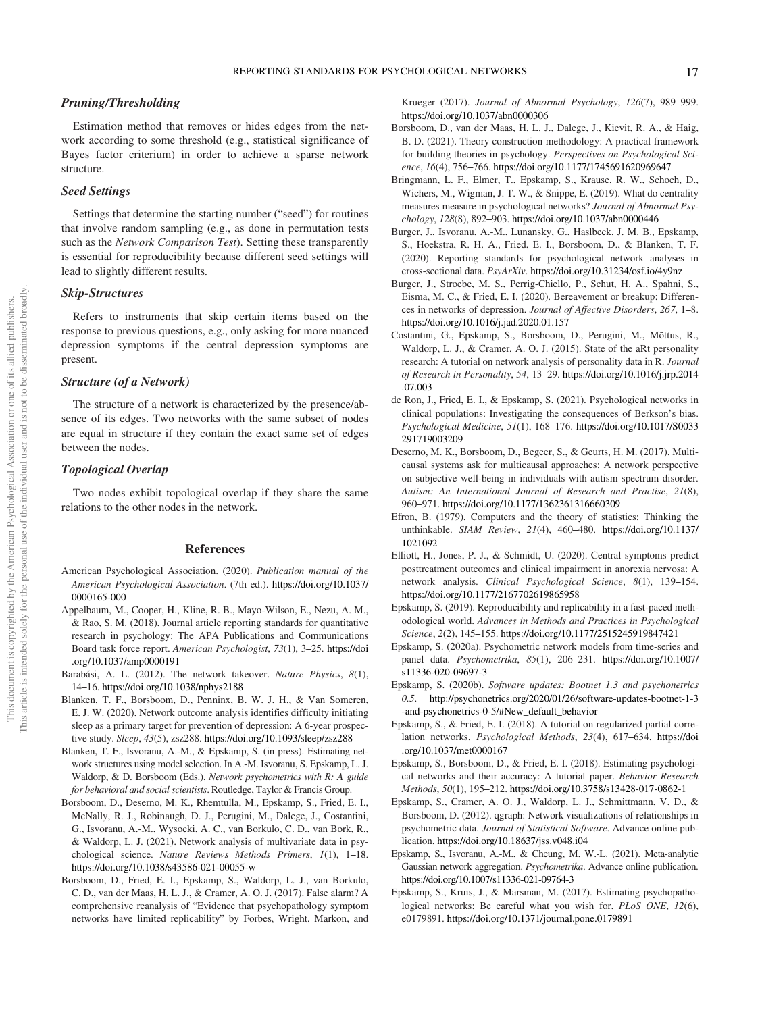#### Pruning/Thresholding

Estimation method that removes or hides edges from the network according to some threshold (e.g., statistical significance of Bayes factor criterium) in order to achieve a sparse network structure.

#### Seed Settings

Settings that determine the starting number ("seed") for routines that involve random sampling (e.g., as done in permutation tests such as the Network Comparison Test). Setting these transparently is essential for reproducibility because different seed settings will lead to slightly different results.

#### Skip-Structures

Refers to instruments that skip certain items based on the response to previous questions, e.g., only asking for more nuanced depression symptoms if the central depression symptoms are present.

#### Structure (of a Network)

The structure of a network is characterized by the presence/absence of its edges. Two networks with the same subset of nodes are equal in structure if they contain the exact same set of edges between the nodes.

#### Topological Overlap

Two nodes exhibit topological overlap if they share the same relations to the other nodes in the network.

#### References

- American Psychological Association. (2020). Publication manual of the American Psychological Association. (7th ed.). [https://doi.org/10.1037/](https://doi.org/10.1037/0000165-000) [0000165-000](https://doi.org/10.1037/0000165-000)
- Appelbaum, M., Cooper, H., Kline, R. B., Mayo-Wilson, E., Nezu, A. M., & Rao, S. M. (2018). Journal article reporting standards for quantitative research in psychology: The APA Publications and Communications Board task force report. American Psychologist, 73(1), 3–25. [https://doi](https://doi.org/10.1037/amp0000191) [.org/10.1037/amp0000191](https://doi.org/10.1037/amp0000191)
- Barabási, A. L. (2012). The network takeover. Nature Physics, 8(1), 14–16. <https://doi.org/10.1038/nphys2188>
- Blanken, T. F., Borsboom, D., Penninx, B. W. J. H., & Van Someren, E. J. W. (2020). Network outcome analysis identifies difficulty initiating sleep as a primary target for prevention of depression: A 6-year prospective study. Sleep, 43(5), zsz288. <https://doi.org/10.1093/sleep/zsz288>
- Blanken, T. F., Isvoranu, A.-M., & Epskamp, S. (in press). Estimating network structures using model selection. In A.-M. Isvoranu, S. Epskamp, L. J. Waldorp, & D. Borsboom (Eds.), Network psychometrics with R: A guide for behavioral and social scientists. Routledge, Taylor & Francis Group.
- Borsboom, D., Deserno, M. K., Rhemtulla, M., Epskamp, S., Fried, E. I., McNally, R. J., Robinaugh, D. J., Perugini, M., Dalege, J., Costantini, G., Isvoranu, A.-M., Wysocki, A. C., van Borkulo, C. D., van Bork, R., & Waldorp, L. J. (2021). Network analysis of multivariate data in psychological science. Nature Reviews Methods Primers, 1(1), 1–18. <https://doi.org/10.1038/s43586-021-00055-w>
- Borsboom, D., Fried, E. I., Epskamp, S., Waldorp, L. J., van Borkulo, C. D., van der Maas, H. L. J., & Cramer, A. O. J. (2017). False alarm? A comprehensive reanalysis of "Evidence that psychopathology symptom networks have limited replicability" by Forbes, Wright, Markon, and

Krueger (2017). Journal of Abnormal Psychology, 126(7), 989–999. <https://doi.org/10.1037/abn0000306>

- Borsboom, D., van der Maas, H. L. J., Dalege, J., Kievit, R. A., & Haig, B. D. (2021). Theory construction methodology: A practical framework for building theories in psychology. Perspectives on Psychological Science, 16(4), 756–766. <https://doi.org/10.1177/1745691620969647>
- Bringmann, L. F., Elmer, T., Epskamp, S., Krause, R. W., Schoch, D., Wichers, M., Wigman, J. T. W., & Snippe, E. (2019). What do centrality measures measure in psychological networks? Journal of Abnormal Psychology, 128(8), 892–903. <https://doi.org/10.1037/abn0000446>
- Burger, J., Isvoranu, A.-M., Lunansky, G., Haslbeck, J. M. B., Epskamp, S., Hoekstra, R. H. A., Fried, E. I., Borsboom, D., & Blanken, T. F. (2020). Reporting standards for psychological network analyses in cross-sectional data. PsyArXiv. <https://doi.org/10.31234/osf.io/4y9nz>
- Burger, J., Stroebe, M. S., Perrig-Chiello, P., Schut, H. A., Spahni, S., Eisma, M. C., & Fried, E. I. (2020). Bereavement or breakup: Differences in networks of depression. Journal of Affective Disorders, 267, 1–8. <https://doi.org/10.1016/j.jad.2020.01.157>
- Costantini, G., Epskamp, S., Borsboom, D., Perugini, M., Mõttus, R., Waldorp, L. J., & Cramer, A. O. J. (2015). State of the aRt personality research: A tutorial on network analysis of personality data in R. Journal of Research in Personality, 54, 13–29. [https://doi.org/10.1016/j.jrp.2014](https://doi.org/10.1016/j.jrp.2014.07.003) [.07.003](https://doi.org/10.1016/j.jrp.2014.07.003)
- de Ron, J., Fried, E. I., & Epskamp, S. (2021). Psychological networks in clinical populations: Investigating the consequences of Berkson's bias. Psychological Medicine, 51(1), 168–176. [https://doi.org/10.1017/S0033](https://doi.org/10.1017/S0033291719003209) [291719003209](https://doi.org/10.1017/S0033291719003209)
- Deserno, M. K., Borsboom, D., Begeer, S., & Geurts, H. M. (2017). Multicausal systems ask for multicausal approaches: A network perspective on subjective well-being in individuals with autism spectrum disorder. Autism: An International Journal of Research and Practise, 21(8), 960–971. <https://doi.org/10.1177/1362361316660309>
- Efron, B. (1979). Computers and the theory of statistics: Thinking the unthinkable. SIAM Review, 21(4), 460–480. [https://doi.org/10.1137/](https://doi.org/10.1137/1021092) [1021092](https://doi.org/10.1137/1021092)
- Elliott, H., Jones, P. J., & Schmidt, U. (2020). Central symptoms predict posttreatment outcomes and clinical impairment in anorexia nervosa: A network analysis. Clinical Psychological Science, 8(1), 139–154. <https://doi.org/10.1177/2167702619865958>
- Epskamp, S. (2019). Reproducibility and replicability in a fast-paced methodological world. Advances in Methods and Practices in Psychological Science, 2(2), 145–155. <https://doi.org/10.1177/2515245919847421>
- Epskamp, S. (2020a). Psychometric network models from time-series and panel data. Psychometrika, 85(1), 206–231. [https://doi.org/10.1007/](https://doi.org/10.1007/s11336-020-09697-3) [s11336-020-09697-3](https://doi.org/10.1007/s11336-020-09697-3)
- Epskamp, S. (2020b). Software updates: Bootnet 1.3 and psychonetrics 0.5. [http://psychonetrics.org/2020/01/26/software-updates-bootnet-1-3](http://psychonetrics.org/2020/01/26/software-updates-bootnet-1-3-and-psychonetrics-0-5/#New_default_behavior) [-and-psychonetrics-0-5/#New\\_default\\_behavior](http://psychonetrics.org/2020/01/26/software-updates-bootnet-1-3-and-psychonetrics-0-5/#New_default_behavior)
- Epskamp, S., & Fried, E. I. (2018). A tutorial on regularized partial correlation networks. Psychological Methods, 23(4), 617–634. [https://doi](https://doi.org/10.1037/met0000167) [.org/10.1037/met0000167](https://doi.org/10.1037/met0000167)
- Epskamp, S., Borsboom, D., & Fried, E. I. (2018). Estimating psychological networks and their accuracy: A tutorial paper. Behavior Research Methods, 50(1), 195–212. <https://doi.org/10.3758/s13428-017-0862-1>
- Epskamp, S., Cramer, A. O. J., Waldorp, L. J., Schmittmann, V. D., & Borsboom, D. (2012). qgraph: Network visualizations of relationships in psychometric data. Journal of Statistical Software. Advance online publication. <https://doi.org/10.18637/jss.v048.i04>
- Epskamp, S., Isvoranu, A.-M., & Cheung, M. W.-L. (2021). Meta-analytic Gaussian network aggregation. Psychometrika. Advance online publication. <https://doi.org/10.1007/s11336-021-09764-3>
- Epskamp, S., Kruis, J., & Marsman, M. (2017). Estimating psychopathological networks: Be careful what you wish for, *PLoS ONE*, 12(6), e0179891. <https://doi.org/10.1371/journal.pone.0179891>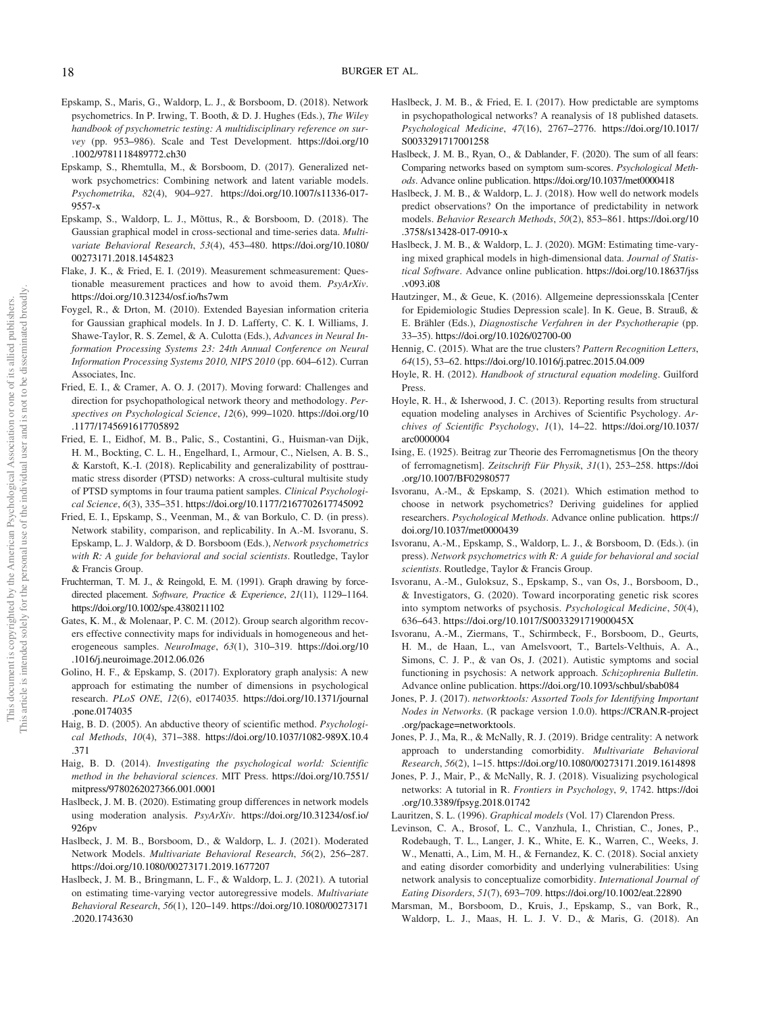- Epskamp, S., Maris, G., Waldorp, L. J., & Borsboom, D. (2018). Network psychometrics. In P. Irwing, T. Booth, & D. J. Hughes (Eds.), The Wiley handbook of psychometric testing: A multidisciplinary reference on survey (pp. 953–986). Scale and Test Development. [https://doi.org/10](https://doi.org/10.1002/9781118489772.ch30) [.1002/9781118489772.ch30](https://doi.org/10.1002/9781118489772.ch30)
- Epskamp, S., Rhemtulla, M., & Borsboom, D. (2017). Generalized network psychometrics: Combining network and latent variable models. Psychometrika, 82(4), 904–927. [https://doi.org/10.1007/s11336-017-](https://doi.org/10.1007/s11336-017-9557-x) [9557-x](https://doi.org/10.1007/s11336-017-9557-x)
- Epskamp, S., Waldorp, L. J., Mõttus, R., & Borsboom, D. (2018). The Gaussian graphical model in cross-sectional and time-series data. Multivariate Behavioral Research, 53(4), 453–480. [https://doi.org/10.1080/](https://doi.org/10.1080/00273171.2018.1454823) [00273171.2018.1454823](https://doi.org/10.1080/00273171.2018.1454823)
- Flake, J. K., & Fried, E. I. (2019). Measurement schmeasurement: Questionable measurement practices and how to avoid them. PsyArXiv. <https://doi.org/10.31234/osf.io/hs7wm>
- Foygel, R., & Drton, M. (2010). Extended Bayesian information criteria for Gaussian graphical models. In J. D. Lafferty, C. K. I. Williams, J. Shawe-Taylor, R. S. Zemel, & A. Culotta (Eds.), Advances in Neural Information Processing Systems 23: 24th Annual Conference on Neural Information Processing Systems 2010, NIPS 2010 (pp. 604–612). Curran Associates, Inc.
- Fried, E. I., & Cramer, A. O. J. (2017). Moving forward: Challenges and direction for psychopathological network theory and methodology. Perspectives on Psychological Science, 12(6), 999–1020. [https://doi.org/10](https://doi.org/10.1177/1745691617705892) [.1177/1745691617705892](https://doi.org/10.1177/1745691617705892)
- Fried, E. I., Eidhof, M. B., Palic, S., Costantini, G., Huisman-van Dijk, H. M., Bockting, C. L. H., Engelhard, I., Armour, C., Nielsen, A. B. S., & Karstoft, K.-I. (2018). Replicability and generalizability of posttraumatic stress disorder (PTSD) networks: A cross-cultural multisite study of PTSD symptoms in four trauma patient samples. Clinical Psychological Science, 6(3), 335–351. <https://doi.org/10.1177/2167702617745092>
- Fried, E. I., Epskamp, S., Veenman, M., & van Borkulo, C. D. (in press). Network stability, comparison, and replicability. In A.-M. Isvoranu, S. Epskamp, L. J. Waldorp, & D. Borsboom (Eds.), Network psychometrics with R: A guide for behavioral and social scientists. Routledge, Taylor & Francis Group.
- Fruchterman, T. M. J., & Reingold, E. M. (1991). Graph drawing by forcedirected placement. Software, Practice & Experience, 21(11), 1129–1164. <https://doi.org/10.1002/spe.4380211102>
- Gates, K. M., & Molenaar, P. C. M. (2012). Group search algorithm recovers effective connectivity maps for individuals in homogeneous and heterogeneous samples. NeuroImage, 63(1), 310–319. [https://doi.org/10](https://doi.org/10.1016/j.neuroimage.2012.06.026) [.1016/j.neuroimage.2012.06.026](https://doi.org/10.1016/j.neuroimage.2012.06.026)
- Golino, H. F., & Epskamp, S. (2017). Exploratory graph analysis: A new approach for estimating the number of dimensions in psychological research. PLoS ONE, 12(6), e0174035. [https://doi.org/10.1371/journal](https://doi.org/10.1371/journal.pone.0174035) [.pone.0174035](https://doi.org/10.1371/journal.pone.0174035)
- Haig, B. D. (2005). An abductive theory of scientific method. Psychological Methods, 10(4), 371–388. [https://doi.org/10.1037/1082-989X.10.4](https://doi.org/10.1037/1082-989X.10.4.371) [.371](https://doi.org/10.1037/1082-989X.10.4.371)
- Haig, B. D. (2014). Investigating the psychological world: Scientific method in the behavioral sciences. MIT Press. [https://doi.org/10.7551/](https://doi.org/10.7551/mitpress/9780262027366.001.0001) [mitpress/9780262027366.001.0001](https://doi.org/10.7551/mitpress/9780262027366.001.0001)
- Haslbeck, J. M. B. (2020). Estimating group differences in network models using moderation analysis. PsyArXiv. [https://doi.org/10.31234/osf.io/](https://doi.org/10.31234/osf.io/926pv) [926pv](https://doi.org/10.31234/osf.io/926pv)
- Haslbeck, J. M. B., Borsboom, D., & Waldorp, L. J. (2021). Moderated Network Models. Multivariate Behavioral Research, 56(2), 256–287. <https://doi.org/10.1080/00273171.2019.1677207>
- Haslbeck, J. M. B., Bringmann, L. F., & Waldorp, L. J. (2021). A tutorial on estimating time-varying vector autoregressive models. Multivariate Behavioral Research, 56(1), 120–149. [https://doi.org/10.1080/00273171](https://doi.org/10.1080/00273171.2020.1743630) [.2020.1743630](https://doi.org/10.1080/00273171.2020.1743630)
- Haslbeck, J. M. B., & Fried, E. I. (2017). How predictable are symptoms in psychopathological networks? A reanalysis of 18 published datasets. Psychological Medicine, 47(16), 2767–2776. [https://doi.org/10.1017/](https://doi.org/10.1017/S0033291717001258) [S0033291717001258](https://doi.org/10.1017/S0033291717001258)
- Haslbeck, J. M. B., Ryan, O., & Dablander, F. (2020). The sum of all fears: Comparing networks based on symptom sum-scores. Psychological Methods. Advance online publication. <https://doi.org/10.1037/met0000418>
- Haslbeck, J. M. B., & Waldorp, L. J. (2018). How well do network models predict observations? On the importance of predictability in network models. Behavior Research Methods, 50(2), 853–861. [https://doi.org/10](https://doi.org/10.3758/s13428-017-0910-x) [.3758/s13428-017-0910-x](https://doi.org/10.3758/s13428-017-0910-x)
- Haslbeck, J. M. B., & Waldorp, L. J. (2020). MGM: Estimating time-varying mixed graphical models in high-dimensional data. Journal of Statistical Software. Advance online publication. [https://doi.org/10.18637/jss](https://doi.org/10.18637/jss.v093.i08) [.v093.i08](https://doi.org/10.18637/jss.v093.i08)
- Hautzinger, M., & Geue, K. (2016). Allgemeine depressionsskala [Center for Epidemiologic Studies Depression scale]. In K. Geue, B. Strauß, & E. Brähler (Eds.), Diagnostische Verfahren in der Psychotherapie (pp. 33–35). <https://doi.org/10.1026/02700-00>
- Hennig, C. (2015). What are the true clusters? Pattern Recognition Letters, 64(15), 53–62. <https://doi.org/10.1016/j.patrec.2015.04.009>
- Hoyle, R. H. (2012). Handbook of structural equation modeling. Guilford Press.
- Hoyle, R. H., & Isherwood, J. C. (2013). Reporting results from structural equation modeling analyses in Archives of Scientific Psychology. Archives of Scientific Psychology, 1(1), 14–22. [https://doi.org/10.1037/](https://doi.org/10.1037/arc0000004) [arc0000004](https://doi.org/10.1037/arc0000004)
- Ising, E. (1925). Beitrag zur Theorie des Ferromagnetismus [On the theory of ferromagnetism]. Zeitschrift Für Physik, 31(1), 253–258. [https://doi](https://doi.org/10.1007/BF02980577) [.org/10.1007/BF02980577](https://doi.org/10.1007/BF02980577)
- Isvoranu, A.-M., & Epskamp, S. (2021). Which estimation method to choose in network psychometrics? Deriving guidelines for applied researchers. Psychological Methods. Advance online publication. [https://](https://doi.org/10.1037/met0000439) [doi.org/10.1037/met0000439](https://doi.org/10.1037/met0000439)
- Isvoranu, A.-M., Epskamp, S., Waldorp, L. J., & Borsboom, D. (Eds.). (in press). Network psychometrics with R: A guide for behavioral and social scientists. Routledge, Taylor & Francis Group.
- Isvoranu, A.-M., Guloksuz, S., Epskamp, S., van Os, J., Borsboom, D., & Investigators, G. (2020). Toward incorporating genetic risk scores into symptom networks of psychosis. Psychological Medicine, 50(4), 636–643. <https://doi.org/10.1017/S003329171900045X>
- Isvoranu, A.-M., Ziermans, T., Schirmbeck, F., Borsboom, D., Geurts, H. M., de Haan, L., van Amelsvoort, T., Bartels-Velthuis, A. A., Simons, C. J. P., & van Os, J. (2021). Autistic symptoms and social functioning in psychosis: A network approach. Schizophrenia Bulletin. Advance online publication. <https://doi.org/10.1093/schbul/sbab084>
- Jones, P. J. (2017). networktools: Assorted Tools for Identifying Important Nodes in Networks. (R package version 1.0.0). [https://CRAN.R-project](https://CRAN.R-project.org/package=networktools) [.org/package=networktools](https://CRAN.R-project.org/package=networktools).
- Jones, P. J., Ma, R., & McNally, R. J. (2019). Bridge centrality: A network approach to understanding comorbidity. Multivariate Behavioral Research, 56(2), 1–15. <https://doi.org/10.1080/00273171.2019.1614898>
- Jones, P. J., Mair, P., & McNally, R. J. (2018). Visualizing psychological networks: A tutorial in R. Frontiers in Psychology, 9, 1742. [https://doi](https://doi.org/10.3389/fpsyg.2018.01742) [.org/10.3389/fpsyg.2018.01742](https://doi.org/10.3389/fpsyg.2018.01742)
- Lauritzen, S. L. (1996). Graphical models (Vol. 17) Clarendon Press.
- Levinson, C. A., Brosof, L. C., Vanzhula, I., Christian, C., Jones, P., Rodebaugh, T. L., Langer, J. K., White, E. K., Warren, C., Weeks, J. W., Menatti, A., Lim, M. H., & Fernandez, K. C. (2018). Social anxiety and eating disorder comorbidity and underlying vulnerabilities: Using network analysis to conceptualize comorbidity. International Journal of Eating Disorders, 51(7), 693–709. <https://doi.org/10.1002/eat.22890>
- Marsman, M., Borsboom, D., Kruis, J., Epskamp, S., van Bork, R., Waldorp, L. J., Maas, H. L. J. V. D., & Maris, G. (2018). An